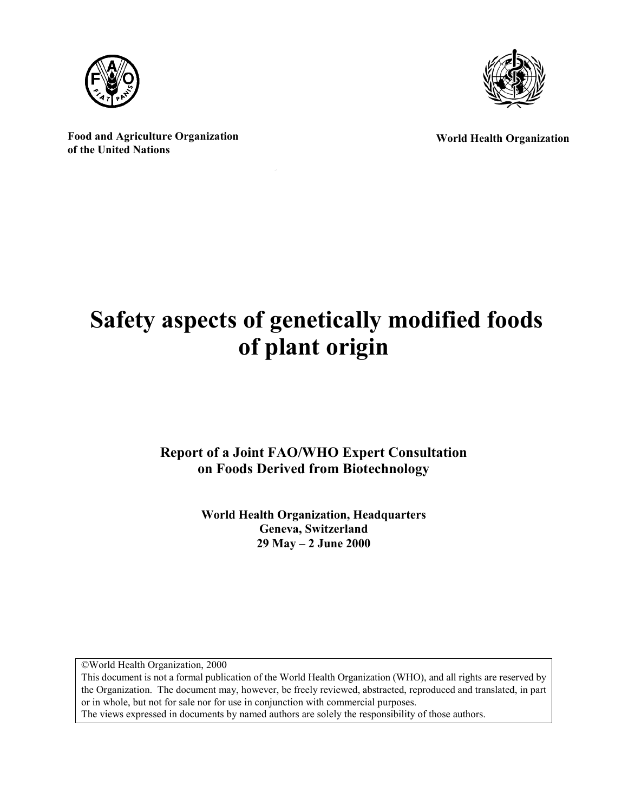



**Food and Agriculture Organization of the United Nations**

**World Health Organization**

## **Safety aspects of genetically modified foods of plant origin**

**Report of a Joint FAO/WHO Expert Consultation on Foods Derived from Biotechnology**

> **World Health Organization, Headquarters Geneva, Switzerland 29 May – 2 June 2000**

©World Health Organization, 2000

This document is not a formal publication of the World Health Organization (WHO), and all rights are reserved by the Organization. The document may, however, be freely reviewed, abstracted, reproduced and translated, in part or in whole, but not for sale nor for use in conjunction with commercial purposes.

The views expressed in documents by named authors are solely the responsibility of those authors.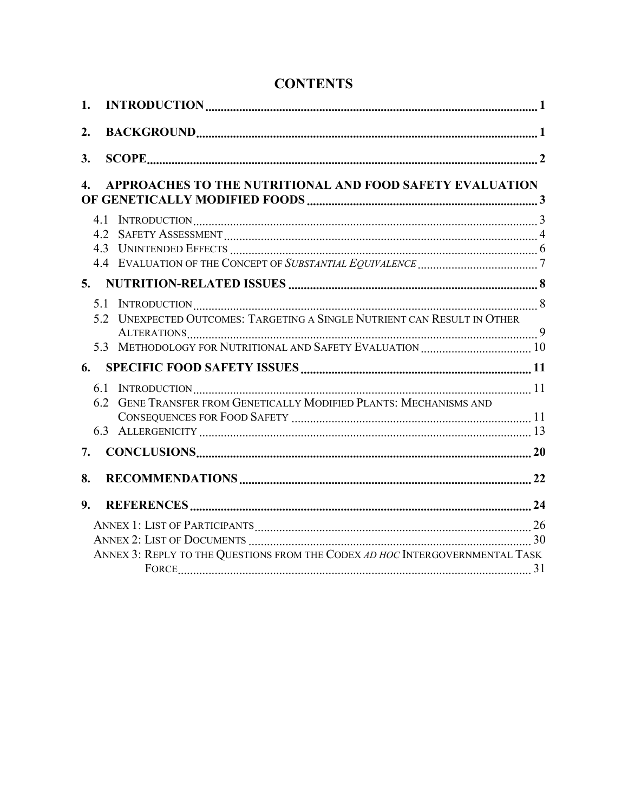| 1.                 |                                                                              |  |
|--------------------|------------------------------------------------------------------------------|--|
| 2.                 |                                                                              |  |
| 3.                 |                                                                              |  |
| $\boldsymbol{4}$ . | APPROACHES TO THE NUTRITIONAL AND FOOD SAFETY EVALUATION                     |  |
| 4.1                |                                                                              |  |
|                    |                                                                              |  |
|                    |                                                                              |  |
|                    |                                                                              |  |
|                    |                                                                              |  |
|                    |                                                                              |  |
|                    | 5.2 UNEXPECTED OUTCOMES: TARGETING A SINGLE NUTRIENT CAN RESULT IN OTHER     |  |
|                    |                                                                              |  |
|                    |                                                                              |  |
|                    |                                                                              |  |
|                    | 6.2 GENE TRANSFER FROM GENETICALLY MODIFIED PLANTS: MECHANISMS AND           |  |
|                    |                                                                              |  |
|                    |                                                                              |  |
| 7.                 |                                                                              |  |
| 8.                 |                                                                              |  |
| 9.                 |                                                                              |  |
|                    |                                                                              |  |
|                    | ANNEX 2: LIST OF DOCUMENTS CONCERTIVE CONTROL AND THE 30                     |  |
|                    | ANNEX 3: REPLY TO THE QUESTIONS FROM THE CODEX AD HOC INTERGOVERNMENTAL TASK |  |
|                    |                                                                              |  |

## **CONTENTS**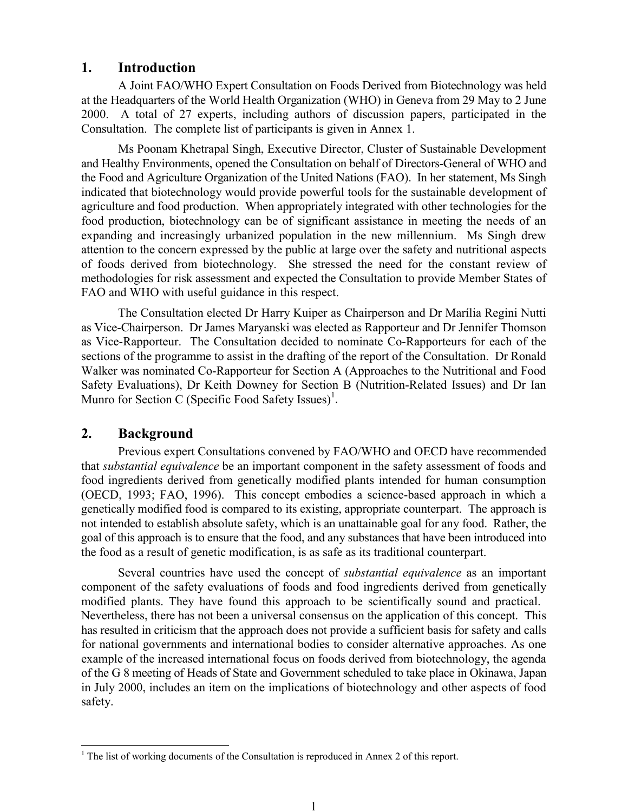### **1. Introduction**

A Joint FAO/WHO Expert Consultation on Foods Derived from Biotechnology was held at the Headquarters of the World Health Organization (WHO) in Geneva from 29 May to 2 June 2000. A total of 27 experts, including authors of discussion papers, participated in the Consultation. The complete list of participants is given in Annex 1.

Ms Poonam Khetrapal Singh, Executive Director, Cluster of Sustainable Development and Healthy Environments, opened the Consultation on behalf of Directors-General of WHO and the Food and Agriculture Organization of the United Nations (FAO). In her statement, Ms Singh indicated that biotechnology would provide powerful tools for the sustainable development of agriculture and food production. When appropriately integrated with other technologies for the food production, biotechnology can be of significant assistance in meeting the needs of an expanding and increasingly urbanized population in the new millennium. Ms Singh drew attention to the concern expressed by the public at large over the safety and nutritional aspects of foods derived from biotechnology. She stressed the need for the constant review of methodologies for risk assessment and expected the Consultation to provide Member States of FAO and WHO with useful guidance in this respect.

The Consultation elected Dr Harry Kuiper as Chairperson and Dr Marília Regini Nutti as Vice-Chairperson. Dr James Maryanski was elected as Rapporteur and Dr Jennifer Thomson as Vice-Rapporteur. The Consultation decided to nominate Co-Rapporteurs for each of the sections of the programme to assist in the drafting of the report of the Consultation. Dr Ronald Walker was nominated Co-Rapporteur for Section A (Approaches to the Nutritional and Food Safety Evaluations), Dr Keith Downey for Section B (Nutrition-Related Issues) and Dr Ian Munro for Section C (Specific Food Safety Issues)<sup>1</sup>.

### **2. Background**

L

Previous expert Consultations convened by FAO/WHO and OECD have recommended that *substantial equivalence* be an important component in the safety assessment of foods and food ingredients derived from genetically modified plants intended for human consumption (OECD, 1993; FAO, 1996). This concept embodies a science-based approach in which a genetically modified food is compared to its existing, appropriate counterpart. The approach is not intended to establish absolute safety, which is an unattainable goal for any food. Rather, the goal of this approach is to ensure that the food, and any substances that have been introduced into the food as a result of genetic modification, is as safe as its traditional counterpart.

Several countries have used the concept of *substantial equivalence* as an important component of the safety evaluations of foods and food ingredients derived from genetically modified plants. They have found this approach to be scientifically sound and practical. Nevertheless, there has not been a universal consensus on the application of this concept. This has resulted in criticism that the approach does not provide a sufficient basis for safety and calls for national governments and international bodies to consider alternative approaches. As one example of the increased international focus on foods derived from biotechnology, the agenda of the G 8 meeting of Heads of State and Government scheduled to take place in Okinawa, Japan in July 2000, includes an item on the implications of biotechnology and other aspects of food safety.

 $<sup>1</sup>$  The list of working documents of the Consultation is reproduced in Annex 2 of this report.</sup>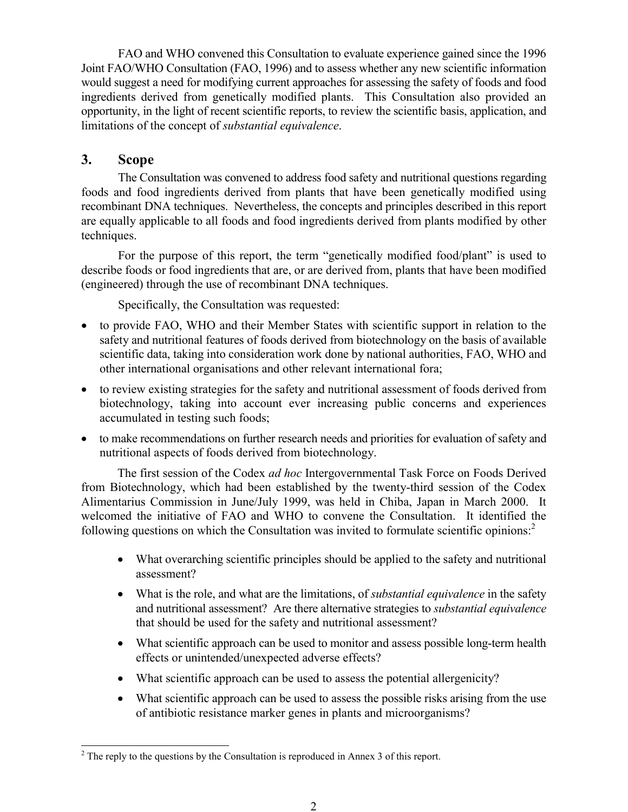FAO and WHO convened this Consultation to evaluate experience gained since the 1996 Joint FAO/WHO Consultation (FAO, 1996) and to assess whether any new scientific information would suggest a need for modifying current approaches for assessing the safety of foods and food ingredients derived from genetically modified plants. This Consultation also provided an opportunity, in the light of recent scientific reports, to review the scientific basis, application, and limitations of the concept of *substantial equivalence*.

## **3. Scope**

L

The Consultation was convened to address food safety and nutritional questions regarding foods and food ingredients derived from plants that have been genetically modified using recombinant DNA techniques. Nevertheless, the concepts and principles described in this report are equally applicable to all foods and food ingredients derived from plants modified by other techniques.

For the purpose of this report, the term "genetically modified food/plant" is used to describe foods or food ingredients that are, or are derived from, plants that have been modified (engineered) through the use of recombinant DNA techniques.

Specifically, the Consultation was requested:

- to provide FAO, WHO and their Member States with scientific support in relation to the safety and nutritional features of foods derived from biotechnology on the basis of available scientific data, taking into consideration work done by national authorities, FAO, WHO and other international organisations and other relevant international fora;
- to review existing strategies for the safety and nutritional assessment of foods derived from biotechnology, taking into account ever increasing public concerns and experiences accumulated in testing such foods;
- to make recommendations on further research needs and priorities for evaluation of safety and nutritional aspects of foods derived from biotechnology.

The first session of the Codex *ad hoc* Intergovernmental Task Force on Foods Derived from Biotechnology, which had been established by the twenty-third session of the Codex Alimentarius Commission in June/July 1999, was held in Chiba, Japan in March 2000. It welcomed the initiative of FAO and WHO to convene the Consultation. It identified the following questions on which the Consultation was invited to formulate scientific opinions:<sup>2</sup>

- What overarching scientific principles should be applied to the safety and nutritional assessment?
- What is the role, and what are the limitations, of *substantial equivalence* in the safety and nutritional assessment? Are there alternative strategies to *substantial equivalence* that should be used for the safety and nutritional assessment?
- What scientific approach can be used to monitor and assess possible long-term health effects or unintended/unexpected adverse effects?
- What scientific approach can be used to assess the potential allergenicity?
- What scientific approach can be used to assess the possible risks arising from the use of antibiotic resistance marker genes in plants and microorganisms?

 $2^2$  The reply to the questions by the Consultation is reproduced in Annex 3 of this report.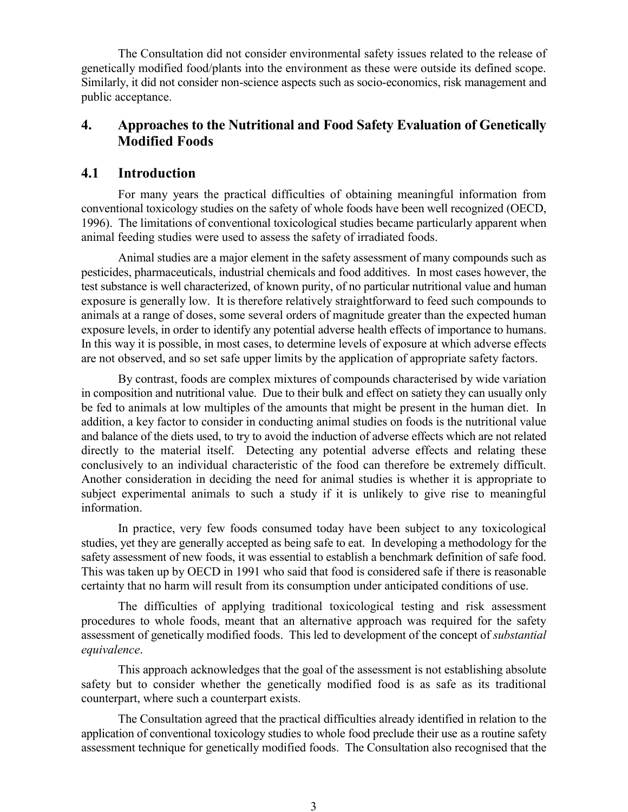The Consultation did not consider environmental safety issues related to the release of genetically modified food/plants into the environment as these were outside its defined scope. Similarly, it did not consider non-science aspects such as socio-economics, risk management and public acceptance.

## **4. Approaches to the Nutritional and Food Safety Evaluation of Genetically Modified Foods**

### **4.1 Introduction**

For many years the practical difficulties of obtaining meaningful information from conventional toxicology studies on the safety of whole foods have been well recognized (OECD, 1996). The limitations of conventional toxicological studies became particularly apparent when animal feeding studies were used to assess the safety of irradiated foods.

Animal studies are a major element in the safety assessment of many compounds such as pesticides, pharmaceuticals, industrial chemicals and food additives. In most cases however, the test substance is well characterized, of known purity, of no particular nutritional value and human exposure is generally low. It is therefore relatively straightforward to feed such compounds to animals at a range of doses, some several orders of magnitude greater than the expected human exposure levels, in order to identify any potential adverse health effects of importance to humans. In this way it is possible, in most cases, to determine levels of exposure at which adverse effects are not observed, and so set safe upper limits by the application of appropriate safety factors.

By contrast, foods are complex mixtures of compounds characterised by wide variation in composition and nutritional value. Due to their bulk and effect on satiety they can usually only be fed to animals at low multiples of the amounts that might be present in the human diet. In addition, a key factor to consider in conducting animal studies on foods is the nutritional value and balance of the diets used, to try to avoid the induction of adverse effects which are not related directly to the material itself. Detecting any potential adverse effects and relating these conclusively to an individual characteristic of the food can therefore be extremely difficult. Another consideration in deciding the need for animal studies is whether it is appropriate to subject experimental animals to such a study if it is unlikely to give rise to meaningful information.

In practice, very few foods consumed today have been subject to any toxicological studies, yet they are generally accepted as being safe to eat. In developing a methodology for the safety assessment of new foods, it was essential to establish a benchmark definition of safe food. This was taken up by OECD in 1991 who said that food is considered safe if there is reasonable certainty that no harm will result from its consumption under anticipated conditions of use.

The difficulties of applying traditional toxicological testing and risk assessment procedures to whole foods, meant that an alternative approach was required for the safety assessment of genetically modified foods. This led to development of the concept of *substantial equivalence*.

This approach acknowledges that the goal of the assessment is not establishing absolute safety but to consider whether the genetically modified food is as safe as its traditional counterpart, where such a counterpart exists.

The Consultation agreed that the practical difficulties already identified in relation to the application of conventional toxicology studies to whole food preclude their use as a routine safety assessment technique for genetically modified foods. The Consultation also recognised that the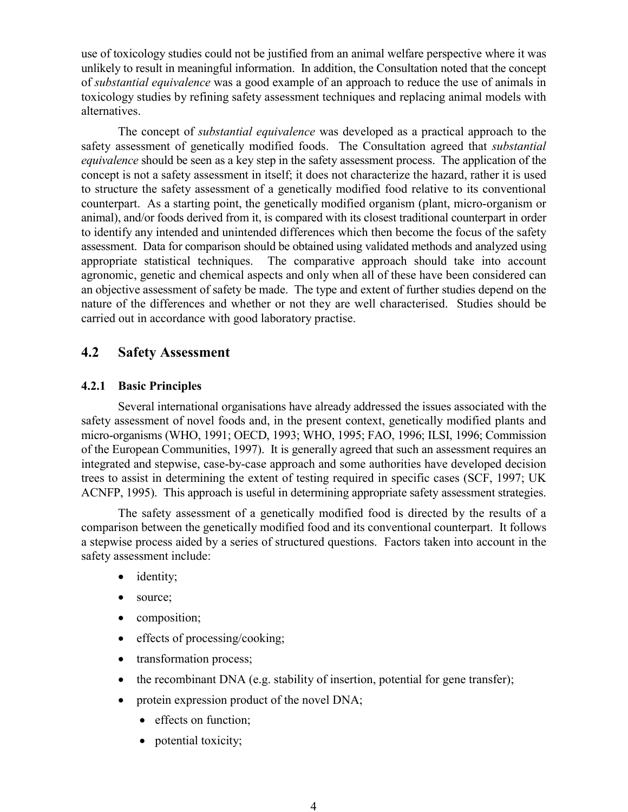use of toxicology studies could not be justified from an animal welfare perspective where it was unlikely to result in meaningful information. In addition, the Consultation noted that the concept of *substantial equivalence* was a good example of an approach to reduce the use of animals in toxicology studies by refining safety assessment techniques and replacing animal models with alternatives.

The concept of *substantial equivalence* was developed as a practical approach to the safety assessment of genetically modified foods. The Consultation agreed that *substantial equivalence* should be seen as a key step in the safety assessment process. The application of the concept is not a safety assessment in itself; it does not characterize the hazard, rather it is used to structure the safety assessment of a genetically modified food relative to its conventional counterpart. As a starting point, the genetically modified organism (plant, micro-organism or animal), and/or foods derived from it, is compared with its closest traditional counterpart in order to identify any intended and unintended differences which then become the focus of the safety assessment. Data for comparison should be obtained using validated methods and analyzed using appropriate statistical techniques. The comparative approach should take into account agronomic, genetic and chemical aspects and only when all of these have been considered can an objective assessment of safety be made. The type and extent of further studies depend on the nature of the differences and whether or not they are well characterised. Studies should be carried out in accordance with good laboratory practise.

### **4.2 Safety Assessment**

### **4.2.1 Basic Principles**

Several international organisations have already addressed the issues associated with the safety assessment of novel foods and, in the present context, genetically modified plants and micro-organisms (WHO, 1991; OECD, 1993; WHO, 1995; FAO, 1996; ILSI, 1996; Commission of the European Communities, 1997). It is generally agreed that such an assessment requires an integrated and stepwise, case-by-case approach and some authorities have developed decision trees to assist in determining the extent of testing required in specific cases (SCF, 1997; UK ACNFP, 1995). This approach is useful in determining appropriate safety assessment strategies.

The safety assessment of a genetically modified food is directed by the results of a comparison between the genetically modified food and its conventional counterpart. It follows a stepwise process aided by a series of structured questions. Factors taken into account in the safety assessment include:

- identity;
- source;
- composition;
- effects of processing/cooking;
- transformation process;
- the recombinant DNA (e.g. stability of insertion, potential for gene transfer);
- protein expression product of the novel DNA;
	- effects on function;
	- potential toxicity;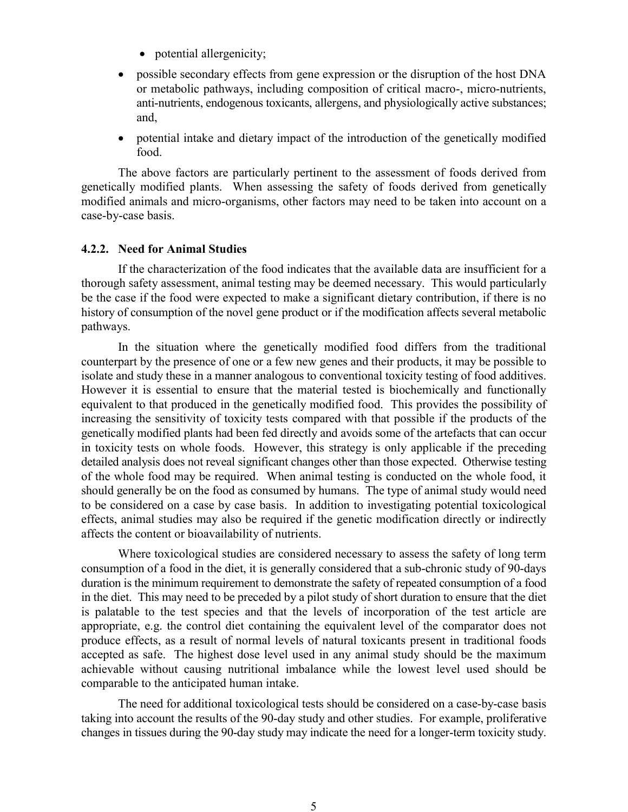- potential allergenicity;
- possible secondary effects from gene expression or the disruption of the host DNA or metabolic pathways, including composition of critical macro-, micro-nutrients, anti-nutrients, endogenous toxicants, allergens, and physiologically active substances; and,
- potential intake and dietary impact of the introduction of the genetically modified food.

The above factors are particularly pertinent to the assessment of foods derived from genetically modified plants. When assessing the safety of foods derived from genetically modified animals and micro-organisms, other factors may need to be taken into account on a case-by-case basis.

### **4.2.2. Need for Animal Studies**

If the characterization of the food indicates that the available data are insufficient for a thorough safety assessment, animal testing may be deemed necessary. This would particularly be the case if the food were expected to make a significant dietary contribution, if there is no history of consumption of the novel gene product or if the modification affects several metabolic pathways.

In the situation where the genetically modified food differs from the traditional counterpart by the presence of one or a few new genes and their products, it may be possible to isolate and study these in a manner analogous to conventional toxicity testing of food additives. However it is essential to ensure that the material tested is biochemically and functionally equivalent to that produced in the genetically modified food. This provides the possibility of increasing the sensitivity of toxicity tests compared with that possible if the products of the genetically modified plants had been fed directly and avoids some of the artefacts that can occur in toxicity tests on whole foods. However, this strategy is only applicable if the preceding detailed analysis does not reveal significant changes other than those expected. Otherwise testing of the whole food may be required. When animal testing is conducted on the whole food, it should generally be on the food as consumed by humans. The type of animal study would need to be considered on a case by case basis. In addition to investigating potential toxicological effects, animal studies may also be required if the genetic modification directly or indirectly affects the content or bioavailability of nutrients.

Where toxicological studies are considered necessary to assess the safety of long term consumption of a food in the diet, it is generally considered that a sub-chronic study of 90-days duration is the minimum requirement to demonstrate the safety of repeated consumption of a food in the diet. This may need to be preceded by a pilot study of short duration to ensure that the diet is palatable to the test species and that the levels of incorporation of the test article are appropriate, e.g. the control diet containing the equivalent level of the comparator does not produce effects, as a result of normal levels of natural toxicants present in traditional foods accepted as safe. The highest dose level used in any animal study should be the maximum achievable without causing nutritional imbalance while the lowest level used should be comparable to the anticipated human intake.

The need for additional toxicological tests should be considered on a case-by-case basis taking into account the results of the 90-day study and other studies. For example, proliferative changes in tissues during the 90-day study may indicate the need for a longer-term toxicity study.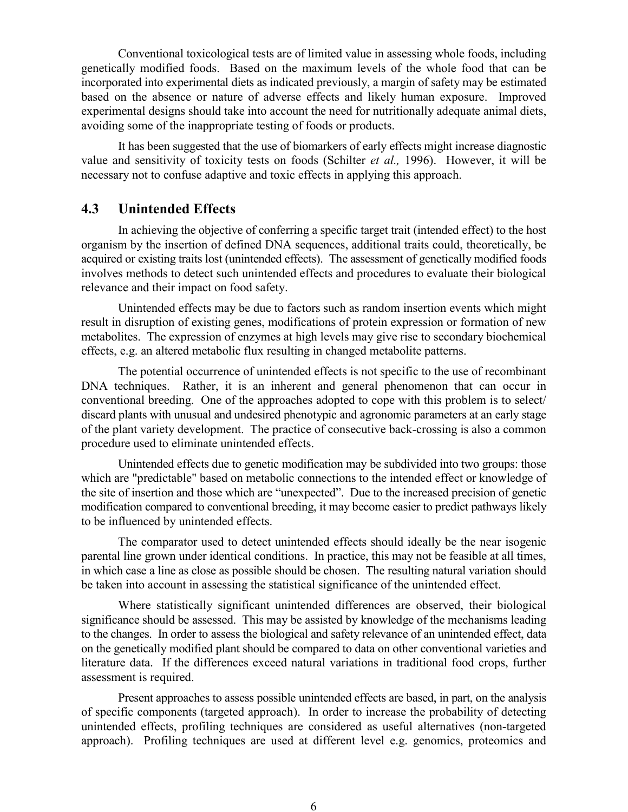Conventional toxicological tests are of limited value in assessing whole foods, including genetically modified foods. Based on the maximum levels of the whole food that can be incorporated into experimental diets as indicated previously, a margin of safety may be estimated based on the absence or nature of adverse effects and likely human exposure. Improved experimental designs should take into account the need for nutritionally adequate animal diets, avoiding some of the inappropriate testing of foods or products.

It has been suggested that the use of biomarkers of early effects might increase diagnostic value and sensitivity of toxicity tests on foods (Schilter *et al.,* 1996). However, it will be necessary not to confuse adaptive and toxic effects in applying this approach.

### **4.3 Unintended Effects**

In achieving the objective of conferring a specific target trait (intended effect) to the host organism by the insertion of defined DNA sequences, additional traits could, theoretically, be acquired or existing traits lost (unintended effects). The assessment of genetically modified foods involves methods to detect such unintended effects and procedures to evaluate their biological relevance and their impact on food safety.

Unintended effects may be due to factors such as random insertion events which might result in disruption of existing genes, modifications of protein expression or formation of new metabolites. The expression of enzymes at high levels may give rise to secondary biochemical effects, e.g. an altered metabolic flux resulting in changed metabolite patterns.

The potential occurrence of unintended effects is not specific to the use of recombinant DNA techniques. Rather, it is an inherent and general phenomenon that can occur in conventional breeding. One of the approaches adopted to cope with this problem is to select/ discard plants with unusual and undesired phenotypic and agronomic parameters at an early stage of the plant variety development. The practice of consecutive back-crossing is also a common procedure used to eliminate unintended effects.

Unintended effects due to genetic modification may be subdivided into two groups: those which are "predictable" based on metabolic connections to the intended effect or knowledge of the site of insertion and those which are "unexpected". Due to the increased precision of genetic modification compared to conventional breeding, it may become easier to predict pathways likely to be influenced by unintended effects.

The comparator used to detect unintended effects should ideally be the near isogenic parental line grown under identical conditions. In practice, this may not be feasible at all times, in which case a line as close as possible should be chosen. The resulting natural variation should be taken into account in assessing the statistical significance of the unintended effect.

Where statistically significant unintended differences are observed, their biological significance should be assessed. This may be assisted by knowledge of the mechanisms leading to the changes. In order to assess the biological and safety relevance of an unintended effect, data on the genetically modified plant should be compared to data on other conventional varieties and literature data. If the differences exceed natural variations in traditional food crops, further assessment is required.

Present approaches to assess possible unintended effects are based, in part, on the analysis of specific components (targeted approach). In order to increase the probability of detecting unintended effects, profiling techniques are considered as useful alternatives (non-targeted approach). Profiling techniques are used at different level e.g. genomics, proteomics and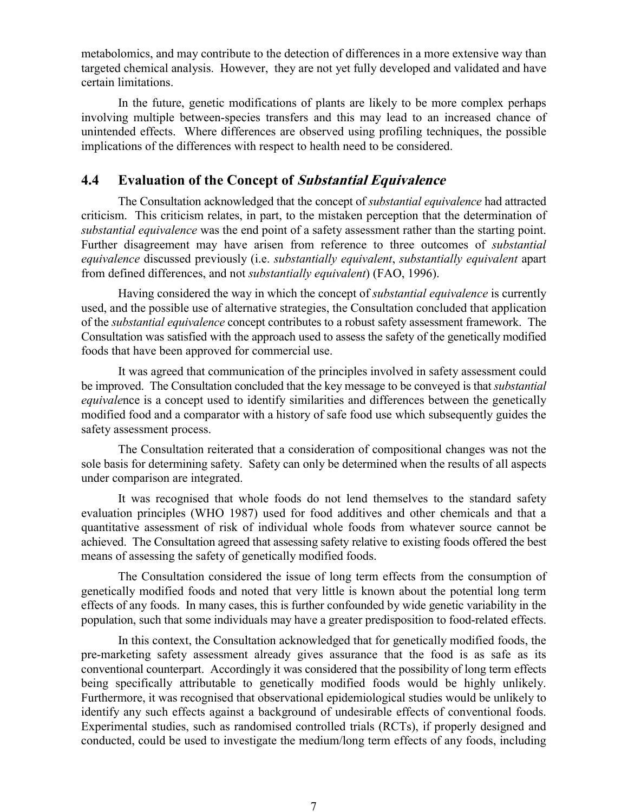metabolomics, and may contribute to the detection of differences in a more extensive way than targeted chemical analysis. However, they are not yet fully developed and validated and have certain limitations.

In the future, genetic modifications of plants are likely to be more complex perhaps involving multiple between-species transfers and this may lead to an increased chance of unintended effects. Where differences are observed using profiling techniques, the possible implications of the differences with respect to health need to be considered.

### **4.4 Evaluation of the Concept of Substantial Equivalence**

 The Consultation acknowledged that the concept of *substantial equivalence* had attracted criticism. This criticism relates, in part, to the mistaken perception that the determination of *substantial equivalence* was the end point of a safety assessment rather than the starting point. Further disagreement may have arisen from reference to three outcomes of *substantial equivalence* discussed previously (i.e. *substantially equivalent*, *substantially equivalent* apart from defined differences, and not *substantially equivalent*) (FAO, 1996).

Having considered the way in which the concept of *substantial equivalence* is currently used, and the possible use of alternative strategies, the Consultation concluded that application of the *substantial equivalence* concept contributes to a robust safety assessment framework. The Consultation was satisfied with the approach used to assess the safety of the genetically modified foods that have been approved for commercial use.

It was agreed that communication of the principles involved in safety assessment could be improved. The Consultation concluded that the key message to be conveyed is that *substantial equivalence* is a concept used to identify similarities and differences between the genetically modified food and a comparator with a history of safe food use which subsequently guides the safety assessment process.

The Consultation reiterated that a consideration of compositional changes was not the sole basis for determining safety. Safety can only be determined when the results of all aspects under comparison are integrated.

It was recognised that whole foods do not lend themselves to the standard safety evaluation principles (WHO 1987) used for food additives and other chemicals and that a quantitative assessment of risk of individual whole foods from whatever source cannot be achieved. The Consultation agreed that assessing safety relative to existing foods offered the best means of assessing the safety of genetically modified foods.

The Consultation considered the issue of long term effects from the consumption of genetically modified foods and noted that very little is known about the potential long term effects of any foods. In many cases, this is further confounded by wide genetic variability in the population, such that some individuals may have a greater predisposition to food-related effects.

In this context, the Consultation acknowledged that for genetically modified foods, the pre-marketing safety assessment already gives assurance that the food is as safe as its conventional counterpart. Accordingly it was considered that the possibility of long term effects being specifically attributable to genetically modified foods would be highly unlikely. Furthermore, it was recognised that observational epidemiological studies would be unlikely to identify any such effects against a background of undesirable effects of conventional foods. Experimental studies, such as randomised controlled trials (RCTs), if properly designed and conducted, could be used to investigate the medium/long term effects of any foods, including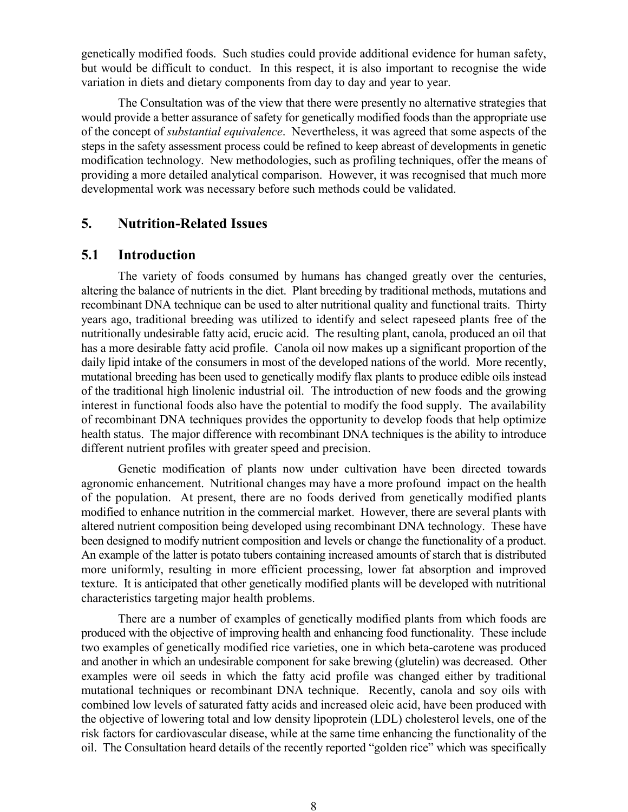genetically modified foods. Such studies could provide additional evidence for human safety, but would be difficult to conduct. In this respect, it is also important to recognise the wide variation in diets and dietary components from day to day and year to year.

The Consultation was of the view that there were presently no alternative strategies that would provide a better assurance of safety for genetically modified foods than the appropriate use of the concept of *substantial equivalence*. Nevertheless, it was agreed that some aspects of the steps in the safety assessment process could be refined to keep abreast of developments in genetic modification technology. New methodologies, such as profiling techniques, offer the means of providing a more detailed analytical comparison. However, it was recognised that much more developmental work was necessary before such methods could be validated.

### **5. Nutrition-Related Issues**

### **5.1 Introduction**

The variety of foods consumed by humans has changed greatly over the centuries, altering the balance of nutrients in the diet. Plant breeding by traditional methods, mutations and recombinant DNA technique can be used to alter nutritional quality and functional traits. Thirty years ago, traditional breeding was utilized to identify and select rapeseed plants free of the nutritionally undesirable fatty acid, erucic acid. The resulting plant, canola, produced an oil that has a more desirable fatty acid profile. Canola oil now makes up a significant proportion of the daily lipid intake of the consumers in most of the developed nations of the world. More recently, mutational breeding has been used to genetically modify flax plants to produce edible oils instead of the traditional high linolenic industrial oil. The introduction of new foods and the growing interest in functional foods also have the potential to modify the food supply. The availability of recombinant DNA techniques provides the opportunity to develop foods that help optimize health status. The major difference with recombinant DNA techniques is the ability to introduce different nutrient profiles with greater speed and precision.

Genetic modification of plants now under cultivation have been directed towards agronomic enhancement. Nutritional changes may have a more profound impact on the health of the population. At present, there are no foods derived from genetically modified plants modified to enhance nutrition in the commercial market. However, there are several plants with altered nutrient composition being developed using recombinant DNA technology. These have been designed to modify nutrient composition and levels or change the functionality of a product. An example of the latter is potato tubers containing increased amounts of starch that is distributed more uniformly, resulting in more efficient processing, lower fat absorption and improved texture. It is anticipated that other genetically modified plants will be developed with nutritional characteristics targeting major health problems.

There are a number of examples of genetically modified plants from which foods are produced with the objective of improving health and enhancing food functionality. These include two examples of genetically modified rice varieties, one in which beta-carotene was produced and another in which an undesirable component for sake brewing (glutelin) was decreased. Other examples were oil seeds in which the fatty acid profile was changed either by traditional mutational techniques or recombinant DNA technique. Recently, canola and soy oils with combined low levels of saturated fatty acids and increased oleic acid, have been produced with the objective of lowering total and low density lipoprotein (LDL) cholesterol levels, one of the risk factors for cardiovascular disease, while at the same time enhancing the functionality of the oil. The Consultation heard details of the recently reported "golden rice" which was specifically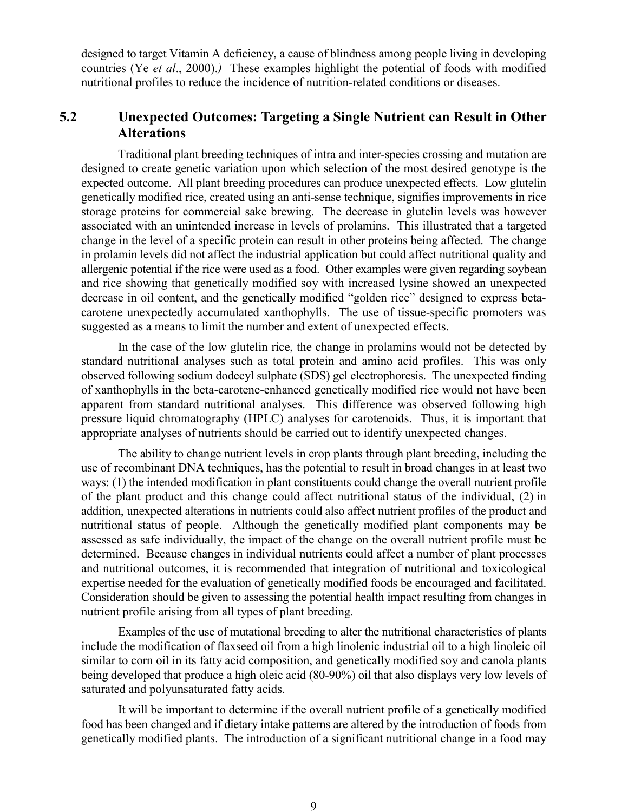designed to target Vitamin A deficiency, a cause of blindness among people living in developing countries (Ye *et al*., 2000).*)* These examples highlight the potential of foods with modified nutritional profiles to reduce the incidence of nutrition-related conditions or diseases.

## **5.2 Unexpected Outcomes: Targeting a Single Nutrient can Result in Other Alterations**

Traditional plant breeding techniques of intra and inter-species crossing and mutation are designed to create genetic variation upon which selection of the most desired genotype is the expected outcome. All plant breeding procedures can produce unexpected effects. Low glutelin genetically modified rice, created using an anti-sense technique, signifies improvements in rice storage proteins for commercial sake brewing. The decrease in glutelin levels was however associated with an unintended increase in levels of prolamins. This illustrated that a targeted change in the level of a specific protein can result in other proteins being affected. The change in prolamin levels did not affect the industrial application but could affect nutritional quality and allergenic potential if the rice were used as a food. Other examples were given regarding soybean and rice showing that genetically modified soy with increased lysine showed an unexpected decrease in oil content, and the genetically modified "golden rice" designed to express betacarotene unexpectedly accumulated xanthophylls. The use of tissue-specific promoters was suggested as a means to limit the number and extent of unexpected effects.

In the case of the low glutelin rice, the change in prolamins would not be detected by standard nutritional analyses such as total protein and amino acid profiles. This was only observed following sodium dodecyl sulphate (SDS) gel electrophoresis. The unexpected finding of xanthophylls in the beta-carotene-enhanced genetically modified rice would not have been apparent from standard nutritional analyses. This difference was observed following high pressure liquid chromatography (HPLC) analyses for carotenoids. Thus, it is important that appropriate analyses of nutrients should be carried out to identify unexpected changes.

The ability to change nutrient levels in crop plants through plant breeding, including the use of recombinant DNA techniques, has the potential to result in broad changes in at least two ways: (1) the intended modification in plant constituents could change the overall nutrient profile of the plant product and this change could affect nutritional status of the individual, (2) in addition, unexpected alterations in nutrients could also affect nutrient profiles of the product and nutritional status of people. Although the genetically modified plant components may be assessed as safe individually, the impact of the change on the overall nutrient profile must be determined. Because changes in individual nutrients could affect a number of plant processes and nutritional outcomes, it is recommended that integration of nutritional and toxicological expertise needed for the evaluation of genetically modified foods be encouraged and facilitated. Consideration should be given to assessing the potential health impact resulting from changes in nutrient profile arising from all types of plant breeding.

Examples of the use of mutational breeding to alter the nutritional characteristics of plants include the modification of flaxseed oil from a high linolenic industrial oil to a high linoleic oil similar to corn oil in its fatty acid composition, and genetically modified soy and canola plants being developed that produce a high oleic acid (80-90%) oil that also displays very low levels of saturated and polyunsaturated fatty acids.

It will be important to determine if the overall nutrient profile of a genetically modified food has been changed and if dietary intake patterns are altered by the introduction of foods from genetically modified plants. The introduction of a significant nutritional change in a food may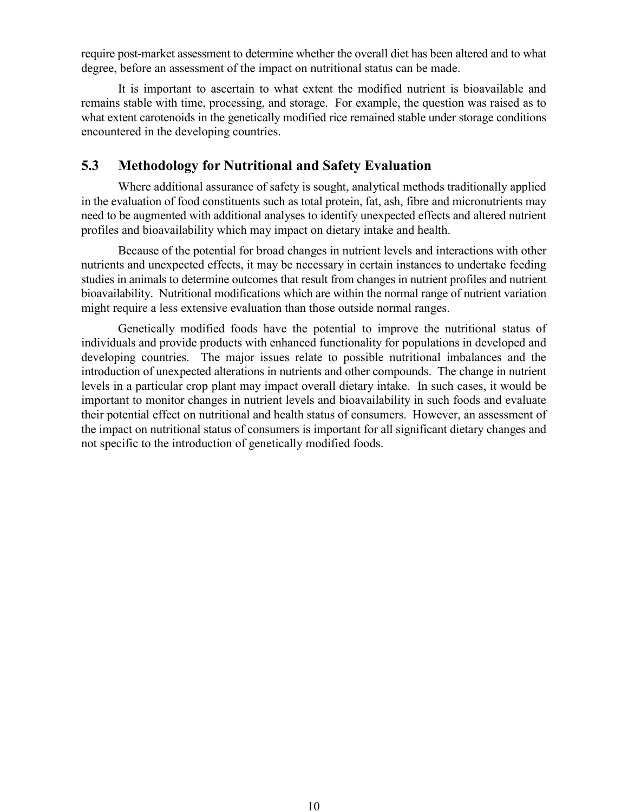require post-market assessment to determine whether the overall diet has been altered and to what degree, before an assessment of the impact on nutritional status can be made.

It is important to ascertain to what extent the modified nutrient is bioavailable and remains stable with time, processing, and storage. For example, the question was raised as to what extent carotenoids in the genetically modified rice remained stable under storage conditions encountered in the developing countries.

## **5.3 Methodology for Nutritional and Safety Evaluation**

Where additional assurance of safety is sought, analytical methods traditionally applied in the evaluation of food constituents such as total protein, fat, ash, fibre and micronutrients may need to be augmented with additional analyses to identify unexpected effects and altered nutrient profiles and bioavailability which may impact on dietary intake and health.

Because of the potential for broad changes in nutrient levels and interactions with other nutrients and unexpected effects, it may be necessary in certain instances to undertake feeding studies in animals to determine outcomes that result from changes in nutrient profiles and nutrient bioavailability. Nutritional modifications which are within the normal range of nutrient variation might require a less extensive evaluation than those outside normal ranges.

Genetically modified foods have the potential to improve the nutritional status of individuals and provide products with enhanced functionality for populations in developed and developing countries. The major issues relate to possible nutritional imbalances and the introduction of unexpected alterations in nutrients and other compounds. The change in nutrient levels in a particular crop plant may impact overall dietary intake. In such cases, it would be important to monitor changes in nutrient levels and bioavailability in such foods and evaluate their potential effect on nutritional and health status of consumers. However, an assessment of the impact on nutritional status of consumers is important for all significant dietary changes and not specific to the introduction of genetically modified foods.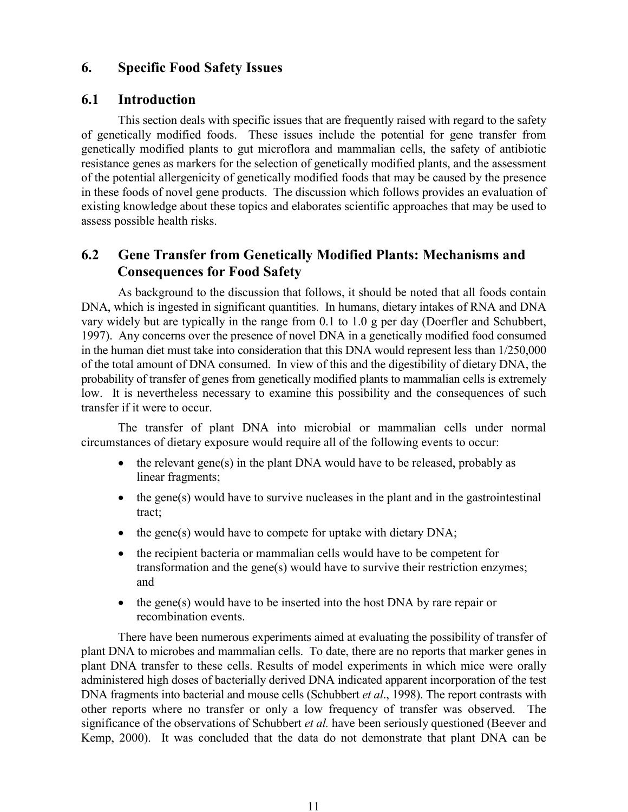## **6. Specific Food Safety Issues**

### **6.1 Introduction**

This section deals with specific issues that are frequently raised with regard to the safety of genetically modified foods. These issues include the potential for gene transfer from genetically modified plants to gut microflora and mammalian cells, the safety of antibiotic resistance genes as markers for the selection of genetically modified plants, and the assessment of the potential allergenicity of genetically modified foods that may be caused by the presence in these foods of novel gene products. The discussion which follows provides an evaluation of existing knowledge about these topics and elaborates scientific approaches that may be used to assess possible health risks.

## **6.2 Gene Transfer from Genetically Modified Plants: Mechanisms and Consequences for Food Safety**

As background to the discussion that follows, it should be noted that all foods contain DNA, which is ingested in significant quantities. In humans, dietary intakes of RNA and DNA vary widely but are typically in the range from 0.1 to 1.0 g per day (Doerfler and Schubbert, 1997). Any concerns over the presence of novel DNA in a genetically modified food consumed in the human diet must take into consideration that this DNA would represent less than 1/250,000 of the total amount of DNA consumed. In view of this and the digestibility of dietary DNA, the probability of transfer of genes from genetically modified plants to mammalian cells is extremely low. It is nevertheless necessary to examine this possibility and the consequences of such transfer if it were to occur.

The transfer of plant DNA into microbial or mammalian cells under normal circumstances of dietary exposure would require all of the following events to occur:

- $\bullet$  the relevant gene(s) in the plant DNA would have to be released, probably as linear fragments;
- $\bullet$  the gene(s) would have to survive nucleases in the plant and in the gastrointestinal tract;
- $\bullet$  the gene(s) would have to compete for uptake with dietary DNA;
- the recipient bacteria or mammalian cells would have to be competent for transformation and the gene(s) would have to survive their restriction enzymes; and
- $\bullet$  the gene(s) would have to be inserted into the host DNA by rare repair or recombination events.

There have been numerous experiments aimed at evaluating the possibility of transfer of plant DNA to microbes and mammalian cells. To date, there are no reports that marker genes in plant DNA transfer to these cells. Results of model experiments in which mice were orally administered high doses of bacterially derived DNA indicated apparent incorporation of the test DNA fragments into bacterial and mouse cells (Schubbert *et al*., 1998). The report contrasts with other reports where no transfer or only a low frequency of transfer was observed. The significance of the observations of Schubbert *et al.* have been seriously questioned (Beever and Kemp, 2000). It was concluded that the data do not demonstrate that plant DNA can be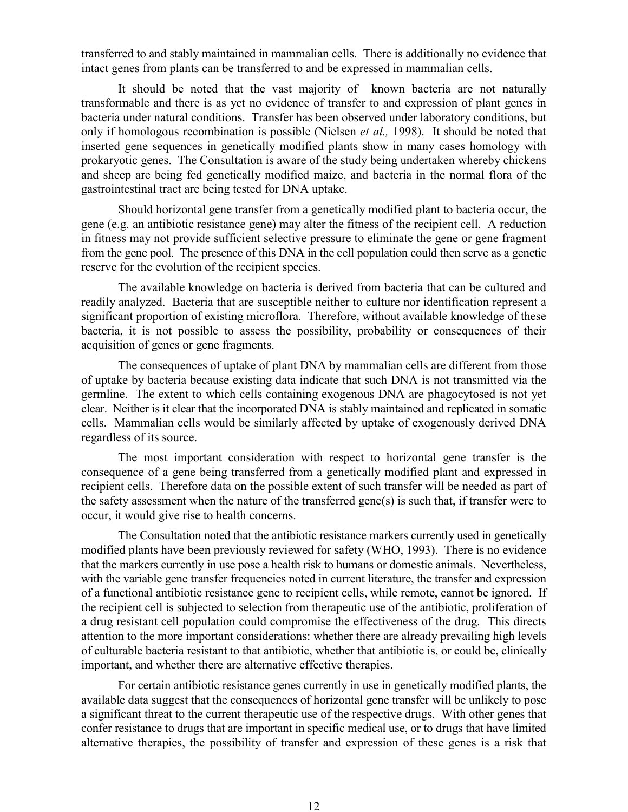transferred to and stably maintained in mammalian cells. There is additionally no evidence that intact genes from plants can be transferred to and be expressed in mammalian cells.

It should be noted that the vast majority of known bacteria are not naturally transformable and there is as yet no evidence of transfer to and expression of plant genes in bacteria under natural conditions. Transfer has been observed under laboratory conditions, but only if homologous recombination is possible (Nielsen *et al.,* 1998). It should be noted that inserted gene sequences in genetically modified plants show in many cases homology with prokaryotic genes. The Consultation is aware of the study being undertaken whereby chickens and sheep are being fed genetically modified maize, and bacteria in the normal flora of the gastrointestinal tract are being tested for DNA uptake.

Should horizontal gene transfer from a genetically modified plant to bacteria occur, the gene (e.g. an antibiotic resistance gene) may alter the fitness of the recipient cell. A reduction in fitness may not provide sufficient selective pressure to eliminate the gene or gene fragment from the gene pool. The presence of this DNA in the cell population could then serve as a genetic reserve for the evolution of the recipient species.

The available knowledge on bacteria is derived from bacteria that can be cultured and readily analyzed. Bacteria that are susceptible neither to culture nor identification represent a significant proportion of existing microflora. Therefore, without available knowledge of these bacteria, it is not possible to assess the possibility, probability or consequences of their acquisition of genes or gene fragments.

The consequences of uptake of plant DNA by mammalian cells are different from those of uptake by bacteria because existing data indicate that such DNA is not transmitted via the germline. The extent to which cells containing exogenous DNA are phagocytosed is not yet clear. Neither is it clear that the incorporated DNA is stably maintained and replicated in somatic cells. Mammalian cells would be similarly affected by uptake of exogenously derived DNA regardless of its source.

The most important consideration with respect to horizontal gene transfer is the consequence of a gene being transferred from a genetically modified plant and expressed in recipient cells. Therefore data on the possible extent of such transfer will be needed as part of the safety assessment when the nature of the transferred gene(s) is such that, if transfer were to occur, it would give rise to health concerns.

The Consultation noted that the antibiotic resistance markers currently used in genetically modified plants have been previously reviewed for safety (WHO, 1993). There is no evidence that the markers currently in use pose a health risk to humans or domestic animals. Nevertheless, with the variable gene transfer frequencies noted in current literature, the transfer and expression of a functional antibiotic resistance gene to recipient cells, while remote, cannot be ignored. If the recipient cell is subjected to selection from therapeutic use of the antibiotic, proliferation of a drug resistant cell population could compromise the effectiveness of the drug. This directs attention to the more important considerations: whether there are already prevailing high levels of culturable bacteria resistant to that antibiotic, whether that antibiotic is, or could be, clinically important, and whether there are alternative effective therapies.

For certain antibiotic resistance genes currently in use in genetically modified plants, the available data suggest that the consequences of horizontal gene transfer will be unlikely to pose a significant threat to the current therapeutic use of the respective drugs. With other genes that confer resistance to drugs that are important in specific medical use, or to drugs that have limited alternative therapies, the possibility of transfer and expression of these genes is a risk that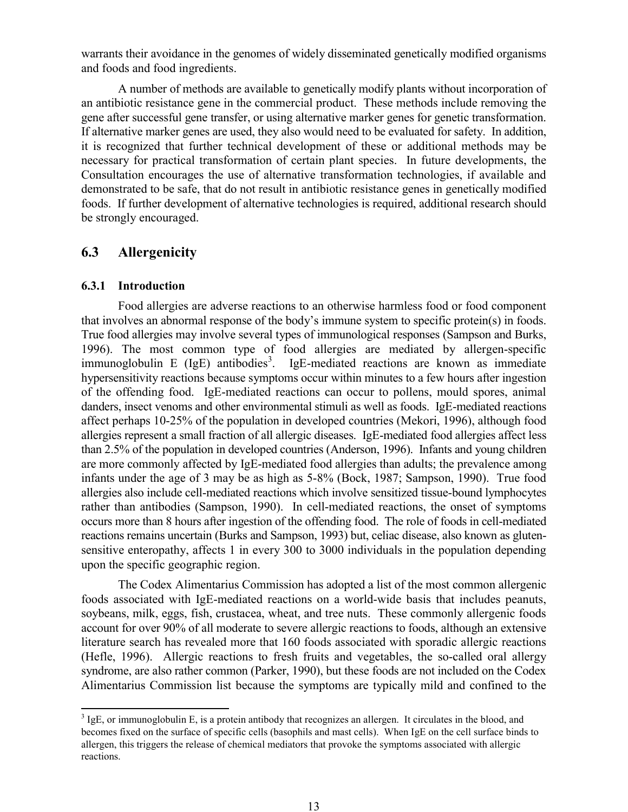warrants their avoidance in the genomes of widely disseminated genetically modified organisms and foods and food ingredients.

A number of methods are available to genetically modify plants without incorporation of an antibiotic resistance gene in the commercial product. These methods include removing the gene after successful gene transfer, or using alternative marker genes for genetic transformation. If alternative marker genes are used, they also would need to be evaluated for safety. In addition, it is recognized that further technical development of these or additional methods may be necessary for practical transformation of certain plant species. In future developments, the Consultation encourages the use of alternative transformation technologies, if available and demonstrated to be safe, that do not result in antibiotic resistance genes in genetically modified foods. If further development of alternative technologies is required, additional research should be strongly encouraged.

## **6.3 Allergenicity**

### **6.3.1 Introduction**

L

Food allergies are adverse reactions to an otherwise harmless food or food component that involves an abnormal response of the body's immune system to specific protein(s) in foods. True food allergies may involve several types of immunological responses (Sampson and Burks, 1996). The most common type of food allergies are mediated by allergen-specific immunoglobulin E (IgE) antibodies<sup>3</sup>. IgE-mediated reactions are known as immediate hypersensitivity reactions because symptoms occur within minutes to a few hours after ingestion of the offending food. IgE-mediated reactions can occur to pollens, mould spores, animal danders, insect venoms and other environmental stimuli as well as foods. IgE-mediated reactions affect perhaps 10-25% of the population in developed countries (Mekori, 1996), although food allergies represent a small fraction of all allergic diseases. IgE-mediated food allergies affect less than 2.5% of the population in developed countries (Anderson, 1996). Infants and young children are more commonly affected by IgE-mediated food allergies than adults; the prevalence among infants under the age of 3 may be as high as 5-8% (Bock, 1987; Sampson, 1990). True food allergies also include cell-mediated reactions which involve sensitized tissue-bound lymphocytes rather than antibodies (Sampson, 1990). In cell-mediated reactions, the onset of symptoms occurs more than 8 hours after ingestion of the offending food. The role of foods in cell-mediated reactions remains uncertain (Burks and Sampson, 1993) but, celiac disease, also known as glutensensitive enteropathy, affects 1 in every 300 to 3000 individuals in the population depending upon the specific geographic region.

The Codex Alimentarius Commission has adopted a list of the most common allergenic foods associated with IgE-mediated reactions on a world-wide basis that includes peanuts, soybeans, milk, eggs, fish, crustacea, wheat, and tree nuts. These commonly allergenic foods account for over 90% of all moderate to severe allergic reactions to foods, although an extensive literature search has revealed more that 160 foods associated with sporadic allergic reactions (Hefle, 1996). Allergic reactions to fresh fruits and vegetables, the so-called oral allergy syndrome, are also rather common (Parker, 1990), but these foods are not included on the Codex Alimentarius Commission list because the symptoms are typically mild and confined to the

 $3$  IgE, or immunoglobulin E, is a protein antibody that recognizes an allergen. It circulates in the blood, and becomes fixed on the surface of specific cells (basophils and mast cells). When IgE on the cell surface binds to allergen, this triggers the release of chemical mediators that provoke the symptoms associated with allergic reactions.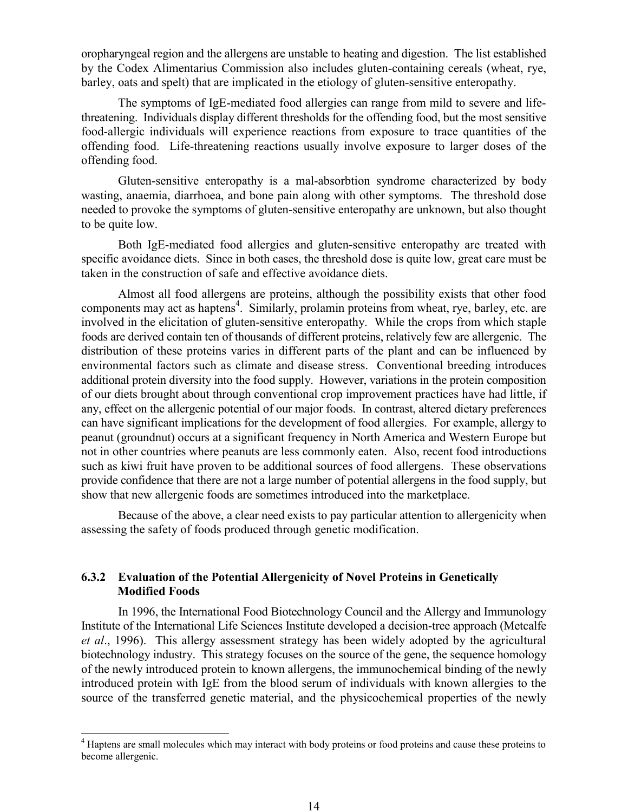oropharyngeal region and the allergens are unstable to heating and digestion. The list established by the Codex Alimentarius Commission also includes gluten-containing cereals (wheat, rye, barley, oats and spelt) that are implicated in the etiology of gluten-sensitive enteropathy.

The symptoms of IgE-mediated food allergies can range from mild to severe and lifethreatening. Individuals display different thresholds for the offending food, but the most sensitive food-allergic individuals will experience reactions from exposure to trace quantities of the offending food. Life-threatening reactions usually involve exposure to larger doses of the offending food.

Gluten-sensitive enteropathy is a mal-absorbtion syndrome characterized by body wasting, anaemia, diarrhoea, and bone pain along with other symptoms. The threshold dose needed to provoke the symptoms of gluten-sensitive enteropathy are unknown, but also thought to be quite low.

Both IgE-mediated food allergies and gluten-sensitive enteropathy are treated with specific avoidance diets. Since in both cases, the threshold dose is quite low, great care must be taken in the construction of safe and effective avoidance diets.

Almost all food allergens are proteins, although the possibility exists that other food components may act as haptens<sup>4</sup>. Similarly, prolamin proteins from wheat, rye, barley, etc. are involved in the elicitation of gluten-sensitive enteropathy. While the crops from which staple foods are derived contain ten of thousands of different proteins, relatively few are allergenic. The distribution of these proteins varies in different parts of the plant and can be influenced by environmental factors such as climate and disease stress. Conventional breeding introduces additional protein diversity into the food supply. However, variations in the protein composition of our diets brought about through conventional crop improvement practices have had little, if any, effect on the allergenic potential of our major foods. In contrast, altered dietary preferences can have significant implications for the development of food allergies. For example, allergy to peanut (groundnut) occurs at a significant frequency in North America and Western Europe but not in other countries where peanuts are less commonly eaten. Also, recent food introductions such as kiwi fruit have proven to be additional sources of food allergens. These observations provide confidence that there are not a large number of potential allergens in the food supply, but show that new allergenic foods are sometimes introduced into the marketplace.

Because of the above, a clear need exists to pay particular attention to allergenicity when assessing the safety of foods produced through genetic modification.

### **6.3.2 Evaluation of the Potential Allergenicity of Novel Proteins in Genetically Modified Foods**

In 1996, the International Food Biotechnology Council and the Allergy and Immunology Institute of the International Life Sciences Institute developed a decision-tree approach (Metcalfe *et al*., 1996). This allergy assessment strategy has been widely adopted by the agricultural biotechnology industry. This strategy focuses on the source of the gene, the sequence homology of the newly introduced protein to known allergens, the immunochemical binding of the newly introduced protein with IgE from the blood serum of individuals with known allergies to the source of the transferred genetic material, and the physicochemical properties of the newly

L

<sup>&</sup>lt;sup>4</sup> Haptens are small molecules which may interact with body proteins or food proteins and cause these proteins to become allergenic.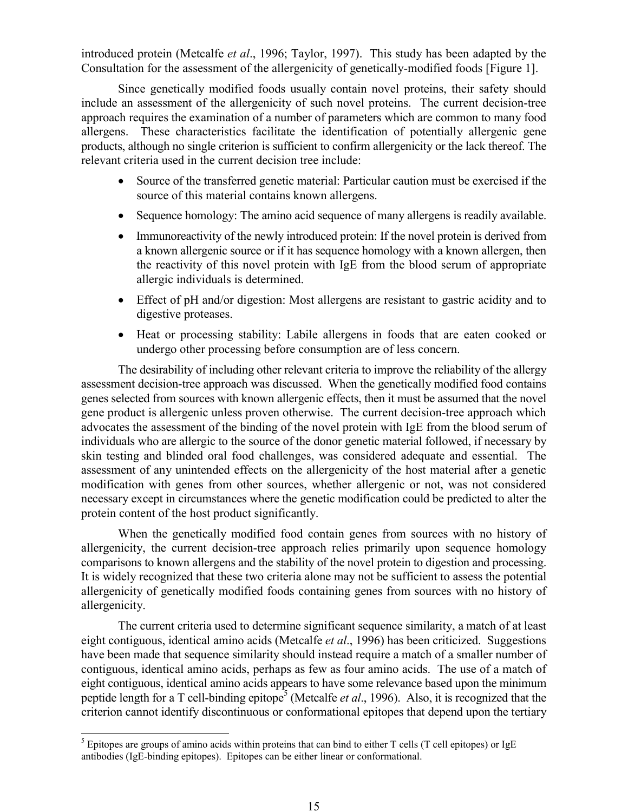introduced protein (Metcalfe *et al*., 1996; Taylor, 1997). This study has been adapted by the Consultation for the assessment of the allergenicity of genetically-modified foods [Figure 1].

Since genetically modified foods usually contain novel proteins, their safety should include an assessment of the allergenicity of such novel proteins. The current decision-tree approach requires the examination of a number of parameters which are common to many food allergens. These characteristics facilitate the identification of potentially allergenic gene products, although no single criterion is sufficient to confirm allergenicity or the lack thereof. The relevant criteria used in the current decision tree include:

- Source of the transferred genetic material: Particular caution must be exercised if the source of this material contains known allergens.
- Sequence homology: The amino acid sequence of many allergens is readily available.
- Immunoreactivity of the newly introduced protein: If the novel protein is derived from a known allergenic source or if it has sequence homology with a known allergen, then the reactivity of this novel protein with IgE from the blood serum of appropriate allergic individuals is determined.
- Effect of pH and/or digestion: Most allergens are resistant to gastric acidity and to digestive proteases.
- Heat or processing stability: Labile allergens in foods that are eaten cooked or undergo other processing before consumption are of less concern.

The desirability of including other relevant criteria to improve the reliability of the allergy assessment decision-tree approach was discussed. When the genetically modified food contains genes selected from sources with known allergenic effects, then it must be assumed that the novel gene product is allergenic unless proven otherwise. The current decision-tree approach which advocates the assessment of the binding of the novel protein with IgE from the blood serum of individuals who are allergic to the source of the donor genetic material followed, if necessary by skin testing and blinded oral food challenges, was considered adequate and essential. The assessment of any unintended effects on the allergenicity of the host material after a genetic modification with genes from other sources, whether allergenic or not, was not considered necessary except in circumstances where the genetic modification could be predicted to alter the protein content of the host product significantly.

When the genetically modified food contain genes from sources with no history of allergenicity, the current decision-tree approach relies primarily upon sequence homology comparisons to known allergens and the stability of the novel protein to digestion and processing. It is widely recognized that these two criteria alone may not be sufficient to assess the potential allergenicity of genetically modified foods containing genes from sources with no history of allergenicity.

The current criteria used to determine significant sequence similarity, a match of at least eight contiguous, identical amino acids (Metcalfe *et al*., 1996) has been criticized. Suggestions have been made that sequence similarity should instead require a match of a smaller number of contiguous, identical amino acids, perhaps as few as four amino acids. The use of a match of eight contiguous, identical amino acids appears to have some relevance based upon the minimum peptide length for a T cell-binding epitope<sup>5</sup> (Metcalfe *et al.*, 1996). Also, it is recognized that the criterion cannot identify discontinuous or conformational epitopes that depend upon the tertiary

L

 $<sup>5</sup>$  Epitopes are groups of amino acids within proteins that can bind to either T cells (T cell epitopes) or IgE</sup> antibodies (IgE-binding epitopes). Epitopes can be either linear or conformational.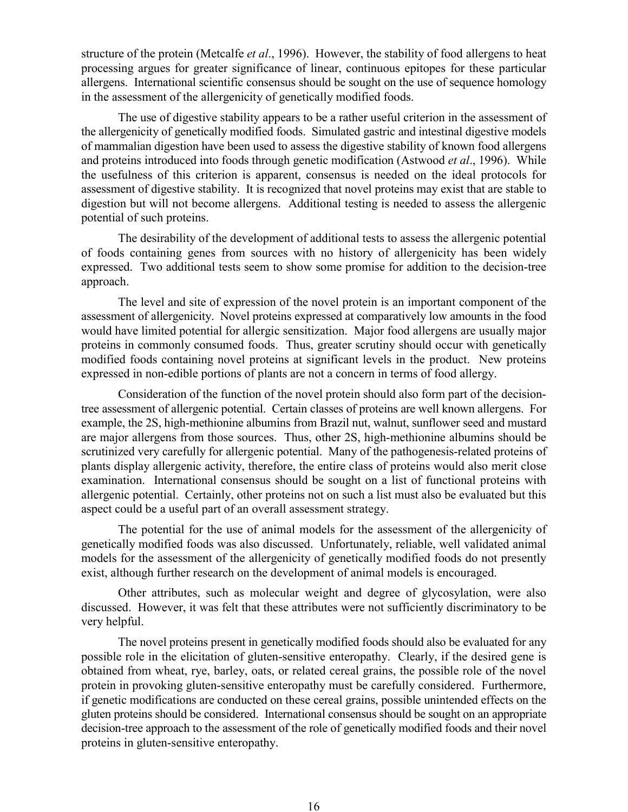structure of the protein (Metcalfe *et al*., 1996). However, the stability of food allergens to heat processing argues for greater significance of linear, continuous epitopes for these particular allergens. International scientific consensus should be sought on the use of sequence homology in the assessment of the allergenicity of genetically modified foods.

The use of digestive stability appears to be a rather useful criterion in the assessment of the allergenicity of genetically modified foods. Simulated gastric and intestinal digestive models of mammalian digestion have been used to assess the digestive stability of known food allergens and proteins introduced into foods through genetic modification (Astwood *et al*., 1996). While the usefulness of this criterion is apparent, consensus is needed on the ideal protocols for assessment of digestive stability. It is recognized that novel proteins may exist that are stable to digestion but will not become allergens. Additional testing is needed to assess the allergenic potential of such proteins.

The desirability of the development of additional tests to assess the allergenic potential of foods containing genes from sources with no history of allergenicity has been widely expressed. Two additional tests seem to show some promise for addition to the decision-tree approach.

The level and site of expression of the novel protein is an important component of the assessment of allergenicity. Novel proteins expressed at comparatively low amounts in the food would have limited potential for allergic sensitization. Major food allergens are usually major proteins in commonly consumed foods. Thus, greater scrutiny should occur with genetically modified foods containing novel proteins at significant levels in the product. New proteins expressed in non-edible portions of plants are not a concern in terms of food allergy.

Consideration of the function of the novel protein should also form part of the decisiontree assessment of allergenic potential. Certain classes of proteins are well known allergens. For example, the 2S, high-methionine albumins from Brazil nut, walnut, sunflower seed and mustard are major allergens from those sources. Thus, other 2S, high-methionine albumins should be scrutinized very carefully for allergenic potential. Many of the pathogenesis-related proteins of plants display allergenic activity, therefore, the entire class of proteins would also merit close examination. International consensus should be sought on a list of functional proteins with allergenic potential. Certainly, other proteins not on such a list must also be evaluated but this aspect could be a useful part of an overall assessment strategy.

The potential for the use of animal models for the assessment of the allergenicity of genetically modified foods was also discussed. Unfortunately, reliable, well validated animal models for the assessment of the allergenicity of genetically modified foods do not presently exist, although further research on the development of animal models is encouraged.

Other attributes, such as molecular weight and degree of glycosylation, were also discussed. However, it was felt that these attributes were not sufficiently discriminatory to be very helpful.

The novel proteins present in genetically modified foods should also be evaluated for any possible role in the elicitation of gluten-sensitive enteropathy. Clearly, if the desired gene is obtained from wheat, rye, barley, oats, or related cereal grains, the possible role of the novel protein in provoking gluten-sensitive enteropathy must be carefully considered. Furthermore, if genetic modifications are conducted on these cereal grains, possible unintended effects on the gluten proteins should be considered. International consensus should be sought on an appropriate decision-tree approach to the assessment of the role of genetically modified foods and their novel proteins in gluten-sensitive enteropathy.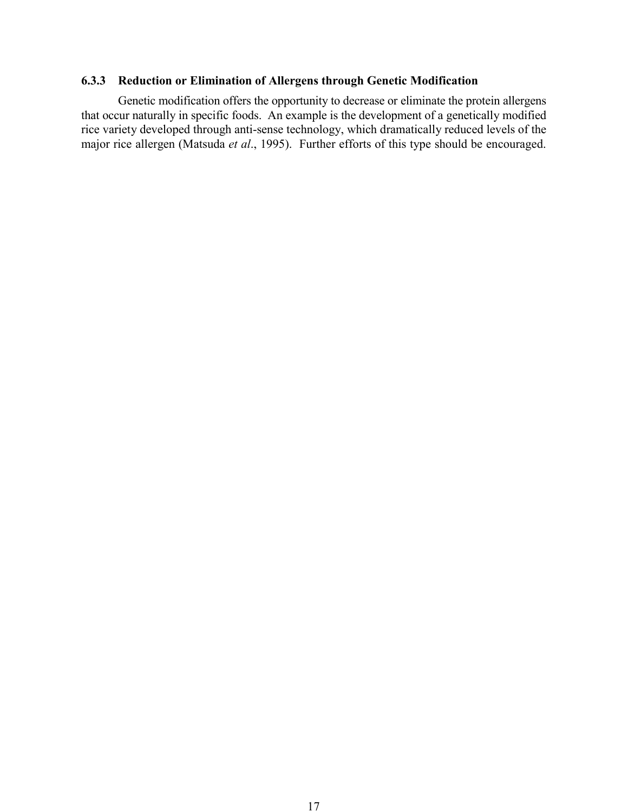### **6.3.3 Reduction or Elimination of Allergens through Genetic Modification**

Genetic modification offers the opportunity to decrease or eliminate the protein allergens that occur naturally in specific foods. An example is the development of a genetically modified rice variety developed through anti-sense technology, which dramatically reduced levels of the major rice allergen (Matsuda *et al*., 1995). Further efforts of this type should be encouraged.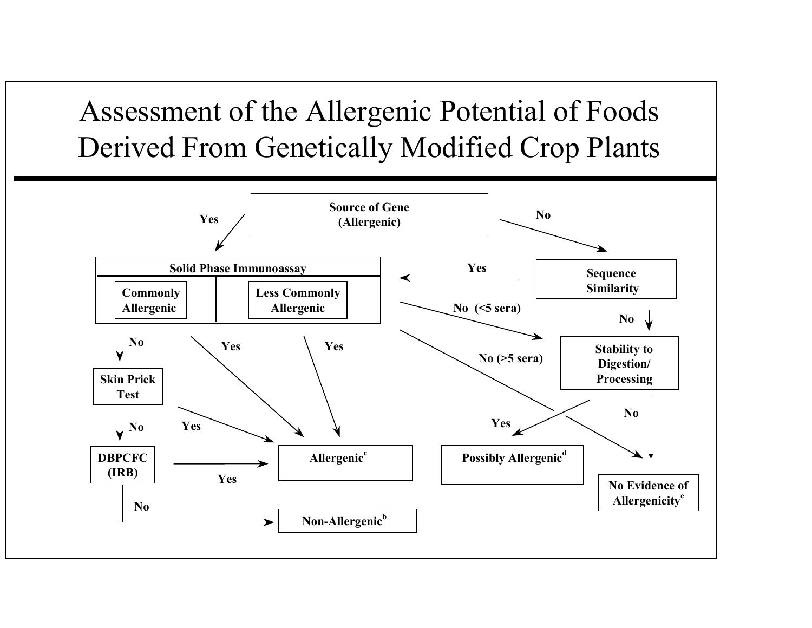# Assessment of the Allergenic Potential of Foods Derived From Genetically Modified Crop Plants

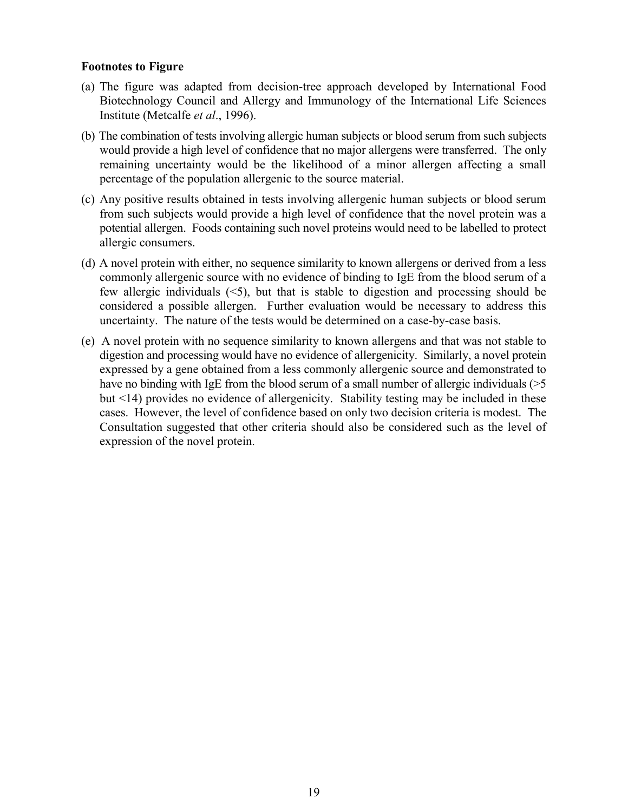### **Footnotes to Figure**

- (a) The figure was adapted from decision-tree approach developed by International Food Biotechnology Council and Allergy and Immunology of the International Life Sciences Institute (Metcalfe *et al*., 1996).
- (b) The combination of tests involving allergic human subjects or blood serum from such subjects would provide a high level of confidence that no major allergens were transferred. The only remaining uncertainty would be the likelihood of a minor allergen affecting a small percentage of the population allergenic to the source material.
- (c) Any positive results obtained in tests involving allergenic human subjects or blood serum from such subjects would provide a high level of confidence that the novel protein was a potential allergen. Foods containing such novel proteins would need to be labelled to protect allergic consumers.
- (d) A novel protein with either, no sequence similarity to known allergens or derived from a less commonly allergenic source with no evidence of binding to IgE from the blood serum of a few allergic individuals  $(\leq 5)$ , but that is stable to digestion and processing should be considered a possible allergen. Further evaluation would be necessary to address this uncertainty. The nature of the tests would be determined on a case-by-case basis.
- (e) A novel protein with no sequence similarity to known allergens and that was not stable to digestion and processing would have no evidence of allergenicity. Similarly, a novel protein expressed by a gene obtained from a less commonly allergenic source and demonstrated to have no binding with IgE from the blood serum of a small number of allergic individuals ( $>5$ ) but <14) provides no evidence of allergenicity. Stability testing may be included in these cases. However, the level of confidence based on only two decision criteria is modest. The Consultation suggested that other criteria should also be considered such as the level of expression of the novel protein.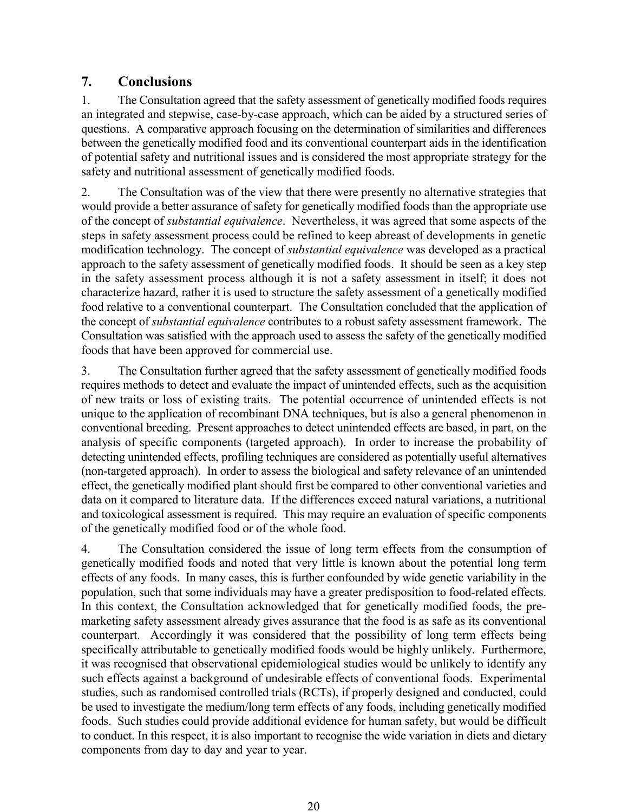## **7. Conclusions**

1. The Consultation agreed that the safety assessment of genetically modified foods requires an integrated and stepwise, case-by-case approach, which can be aided by a structured series of questions. A comparative approach focusing on the determination of similarities and differences between the genetically modified food and its conventional counterpart aids in the identification of potential safety and nutritional issues and is considered the most appropriate strategy for the safety and nutritional assessment of genetically modified foods.

2. The Consultation was of the view that there were presently no alternative strategies that would provide a better assurance of safety for genetically modified foods than the appropriate use of the concept of *substantial equivalence*. Nevertheless, it was agreed that some aspects of the steps in safety assessment process could be refined to keep abreast of developments in genetic modification technology. The concept of *substantial equivalence* was developed as a practical approach to the safety assessment of genetically modified foods. It should be seen as a key step in the safety assessment process although it is not a safety assessment in itself; it does not characterize hazard, rather it is used to structure the safety assessment of a genetically modified food relative to a conventional counterpart. The Consultation concluded that the application of the concept of *substantial equivalence* contributes to a robust safety assessment framework. The Consultation was satisfied with the approach used to assess the safety of the genetically modified foods that have been approved for commercial use.

3. The Consultation further agreed that the safety assessment of genetically modified foods requires methods to detect and evaluate the impact of unintended effects, such as the acquisition of new traits or loss of existing traits. The potential occurrence of unintended effects is not unique to the application of recombinant DNA techniques, but is also a general phenomenon in conventional breeding. Present approaches to detect unintended effects are based, in part, on the analysis of specific components (targeted approach). In order to increase the probability of detecting unintended effects, profiling techniques are considered as potentially useful alternatives (non-targeted approach). In order to assess the biological and safety relevance of an unintended effect, the genetically modified plant should first be compared to other conventional varieties and data on it compared to literature data. If the differences exceed natural variations, a nutritional and toxicological assessment is required. This may require an evaluation of specific components of the genetically modified food or of the whole food.

4. The Consultation considered the issue of long term effects from the consumption of genetically modified foods and noted that very little is known about the potential long term effects of any foods. In many cases, this is further confounded by wide genetic variability in the population, such that some individuals may have a greater predisposition to food-related effects. In this context, the Consultation acknowledged that for genetically modified foods, the premarketing safety assessment already gives assurance that the food is as safe as its conventional counterpart. Accordingly it was considered that the possibility of long term effects being specifically attributable to genetically modified foods would be highly unlikely. Furthermore, it was recognised that observational epidemiological studies would be unlikely to identify any such effects against a background of undesirable effects of conventional foods. Experimental studies, such as randomised controlled trials (RCTs), if properly designed and conducted, could be used to investigate the medium/long term effects of any foods, including genetically modified foods. Such studies could provide additional evidence for human safety, but would be difficult to conduct. In this respect, it is also important to recognise the wide variation in diets and dietary components from day to day and year to year.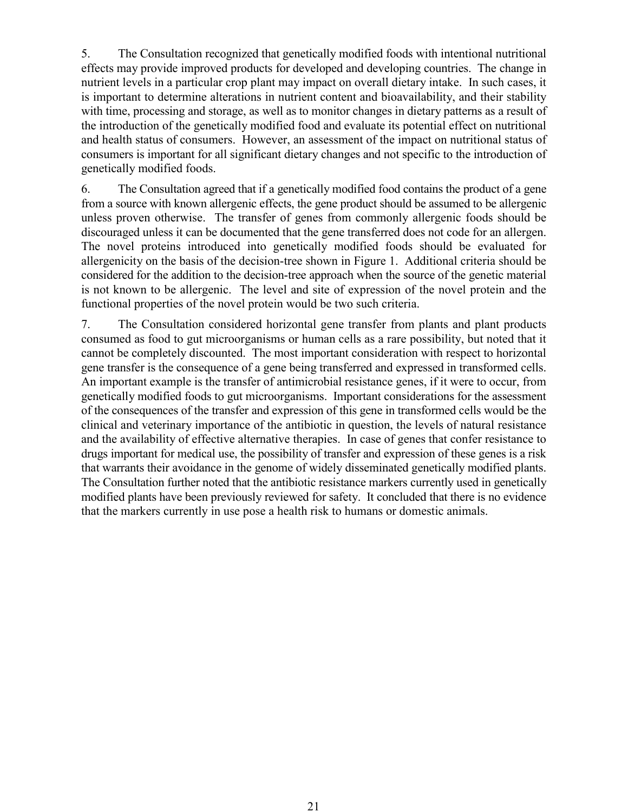5. The Consultation recognized that genetically modified foods with intentional nutritional effects may provide improved products for developed and developing countries. The change in nutrient levels in a particular crop plant may impact on overall dietary intake. In such cases, it is important to determine alterations in nutrient content and bioavailability, and their stability with time, processing and storage, as well as to monitor changes in dietary patterns as a result of the introduction of the genetically modified food and evaluate its potential effect on nutritional and health status of consumers. However, an assessment of the impact on nutritional status of consumers is important for all significant dietary changes and not specific to the introduction of genetically modified foods.

6. The Consultation agreed that if a genetically modified food contains the product of a gene from a source with known allergenic effects, the gene product should be assumed to be allergenic unless proven otherwise. The transfer of genes from commonly allergenic foods should be discouraged unless it can be documented that the gene transferred does not code for an allergen. The novel proteins introduced into genetically modified foods should be evaluated for allergenicity on the basis of the decision-tree shown in Figure 1. Additional criteria should be considered for the addition to the decision-tree approach when the source of the genetic material is not known to be allergenic. The level and site of expression of the novel protein and the functional properties of the novel protein would be two such criteria.

7. The Consultation considered horizontal gene transfer from plants and plant products consumed as food to gut microorganisms or human cells as a rare possibility, but noted that it cannot be completely discounted. The most important consideration with respect to horizontal gene transfer is the consequence of a gene being transferred and expressed in transformed cells. An important example is the transfer of antimicrobial resistance genes, if it were to occur, from genetically modified foods to gut microorganisms. Important considerations for the assessment of the consequences of the transfer and expression of this gene in transformed cells would be the clinical and veterinary importance of the antibiotic in question, the levels of natural resistance and the availability of effective alternative therapies. In case of genes that confer resistance to drugs important for medical use, the possibility of transfer and expression of these genes is a risk that warrants their avoidance in the genome of widely disseminated genetically modified plants. The Consultation further noted that the antibiotic resistance markers currently used in genetically modified plants have been previously reviewed for safety. It concluded that there is no evidence that the markers currently in use pose a health risk to humans or domestic animals.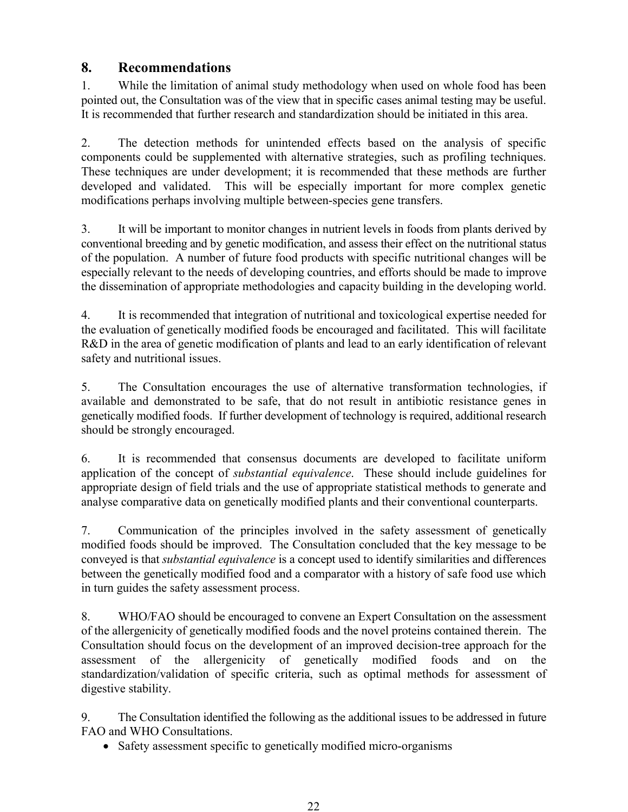## **8. Recommendations**

1. While the limitation of animal study methodology when used on whole food has been pointed out, the Consultation was of the view that in specific cases animal testing may be useful. It is recommended that further research and standardization should be initiated in this area.

2. The detection methods for unintended effects based on the analysis of specific components could be supplemented with alternative strategies, such as profiling techniques. These techniques are under development; it is recommended that these methods are further developed and validated. This will be especially important for more complex genetic modifications perhaps involving multiple between-species gene transfers.

3. It will be important to monitor changes in nutrient levels in foods from plants derived by conventional breeding and by genetic modification, and assess their effect on the nutritional status of the population. A number of future food products with specific nutritional changes will be especially relevant to the needs of developing countries, and efforts should be made to improve the dissemination of appropriate methodologies and capacity building in the developing world.

4. It is recommended that integration of nutritional and toxicological expertise needed for the evaluation of genetically modified foods be encouraged and facilitated. This will facilitate R&D in the area of genetic modification of plants and lead to an early identification of relevant safety and nutritional issues.

5. The Consultation encourages the use of alternative transformation technologies, if available and demonstrated to be safe, that do not result in antibiotic resistance genes in genetically modified foods. If further development of technology is required, additional research should be strongly encouraged.

6. It is recommended that consensus documents are developed to facilitate uniform application of the concept of *substantial equivalence*. These should include guidelines for appropriate design of field trials and the use of appropriate statistical methods to generate and analyse comparative data on genetically modified plants and their conventional counterparts.

7. Communication of the principles involved in the safety assessment of genetically modified foods should be improved. The Consultation concluded that the key message to be conveyed is that *substantial equivalence* is a concept used to identify similarities and differences between the genetically modified food and a comparator with a history of safe food use which in turn guides the safety assessment process.

8. WHO/FAO should be encouraged to convene an Expert Consultation on the assessment of the allergenicity of genetically modified foods and the novel proteins contained therein. The Consultation should focus on the development of an improved decision-tree approach for the assessment of the allergenicity of genetically modified foods and on the standardization/validation of specific criteria, such as optimal methods for assessment of digestive stability.

9. The Consultation identified the following as the additional issues to be addressed in future FAO and WHO Consultations.

• Safety assessment specific to genetically modified micro-organisms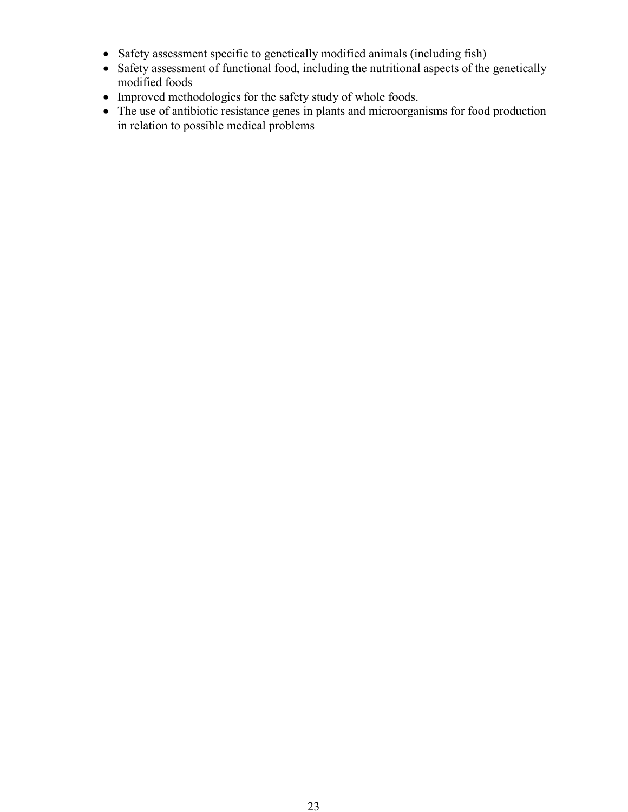- Safety assessment specific to genetically modified animals (including fish)
- Safety assessment of functional food, including the nutritional aspects of the genetically modified foods
- Improved methodologies for the safety study of whole foods.
- The use of antibiotic resistance genes in plants and microorganisms for food production in relation to possible medical problems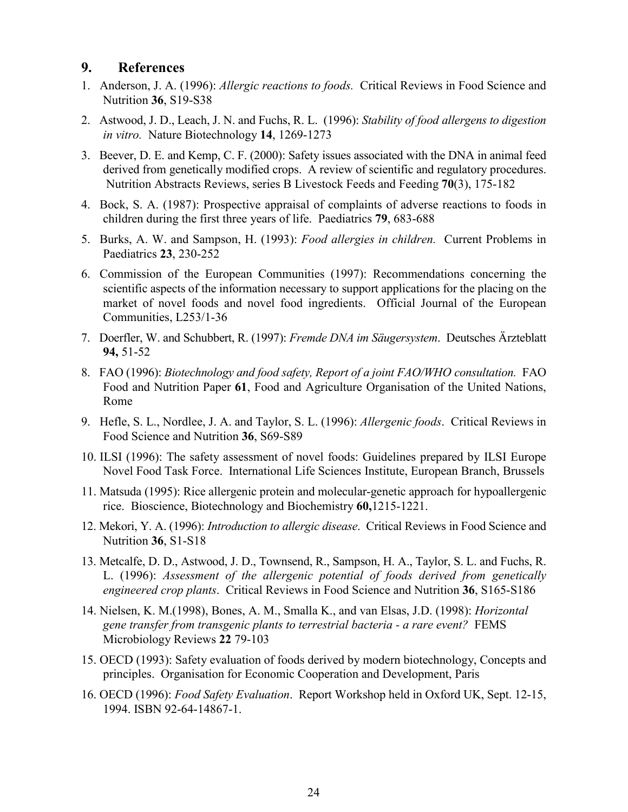### **9. References**

- 1. Anderson, J. A. (1996): *Allergic reactions to foods.* Critical Reviews in Food Science and Nutrition **36**, S19-S38
- 2. Astwood, J. D., Leach, J. N. and Fuchs, R. L. (1996): *Stability of food allergens to digestion in vitro.* Nature Biotechnology **14**, 1269-1273
- 3. Beever, D. E. and Kemp, C. F. (2000): Safety issues associated with the DNA in animal feed derived from genetically modified crops. A review of scientific and regulatory procedures. Nutrition Abstracts Reviews, series B Livestock Feeds and Feeding **70**(3), 175-182
- 4. Bock, S. A. (1987): Prospective appraisal of complaints of adverse reactions to foods in children during the first three years of life. Paediatrics **79**, 683-688
- 5. Burks, A. W. and Sampson, H. (1993): *Food allergies in children.* Current Problems in Paediatrics **23**, 230-252
- 6. Commission of the European Communities (1997): Recommendations concerning the scientific aspects of the information necessary to support applications for the placing on the market of novel foods and novel food ingredients. Official Journal of the European Communities, L253/1-36
- 7. Doerfler, W. and Schubbert, R. (1997): *Fremde DNA im Säugersystem*. Deutsches Ärzteblatt **94,** 51-52
- 8. FAO (1996): *Biotechnology and food safety, Report of a joint FAO/WHO consultation.* FAO Food and Nutrition Paper **61**, Food and Agriculture Organisation of the United Nations, Rome
- 9. Hefle, S. L., Nordlee, J. A. and Taylor, S. L. (1996): *Allergenic foods*. Critical Reviews in Food Science and Nutrition **36**, S69-S89
- 10. ILSI (1996): The safety assessment of novel foods: Guidelines prepared by ILSI Europe Novel Food Task Force. International Life Sciences Institute, European Branch, Brussels
- 11. Matsuda (1995): Rice allergenic protein and molecular-genetic approach for hypoallergenic rice. Bioscience, Biotechnology and Biochemistry **60,**1215-1221.
- 12. Mekori, Y. A. (1996): *Introduction to allergic disease*. Critical Reviews in Food Science and Nutrition **36**, S1-S18
- 13. Metcalfe, D. D., Astwood, J. D., Townsend, R., Sampson, H. A., Taylor, S. L. and Fuchs, R. L. (1996): *Assessment of the allergenic potential of foods derived from genetically engineered crop plants*. Critical Reviews in Food Science and Nutrition **36**, S165-S186
- 14. Nielsen, K. M.(1998), Bones, A. M., Smalla K., and van Elsas, J.D. (1998): *Horizontal gene transfer from transgenic plants to terrestrial bacteria - a rare event?* FEMS Microbiology Reviews **22** 79-103
- 15. OECD (1993): Safety evaluation of foods derived by modern biotechnology, Concepts and principles. Organisation for Economic Cooperation and Development, Paris
- 16. OECD (1996): *Food Safety Evaluation*. Report Workshop held in Oxford UK, Sept. 12-15, 1994. ISBN 92-64-14867-1.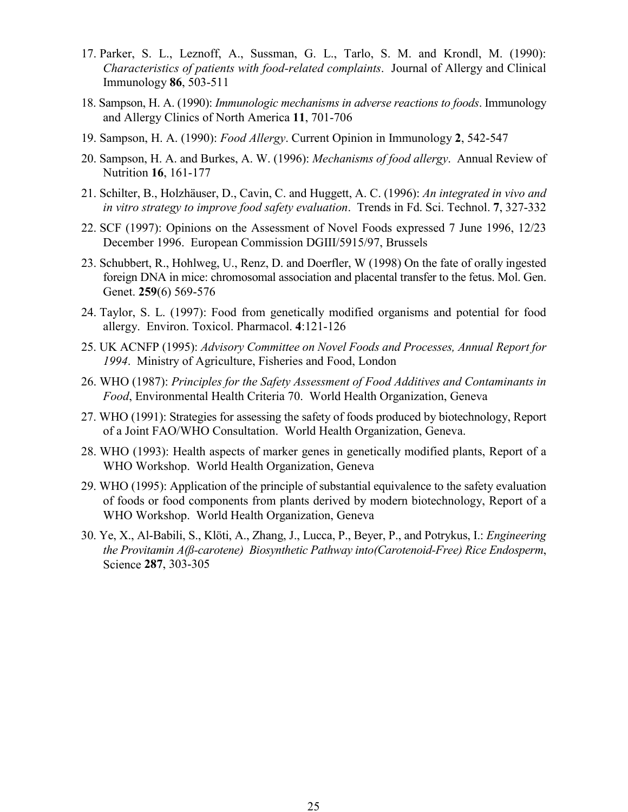- 17. Parker, S. L., Leznoff, A., Sussman, G. L., Tarlo, S. M. and Krondl, M. (1990): *Characteristics of patients with food-related complaints*. Journal of Allergy and Clinical Immunology **86**, 503-511
- 18. Sampson, H. A. (1990): *Immunologic mechanisms in adverse reactions to foods*. Immunology and Allergy Clinics of North America **11**, 701-706
- 19. Sampson, H. A. (1990): *Food Allergy*. Current Opinion in Immunology **2**, 542-547
- 20. Sampson, H. A. and Burkes, A. W. (1996): *Mechanisms of food allergy*. Annual Review of Nutrition **16**, 161-177
- 21. Schilter, B., Holzhäuser, D., Cavin, C. and Huggett, A. C. (1996): *An integrated in vivo and in vitro strategy to improve food safety evaluation*. Trends in Fd. Sci. Technol. **7**, 327-332
- 22. SCF (1997): Opinions on the Assessment of Novel Foods expressed 7 June 1996, 12/23 December 1996. European Commission DGIII/5915/97, Brussels
- 23. Schubbert, R., Hohlweg, U., Renz, D. and Doerfler, W (1998) On the fate of orally ingested foreign DNA in mice: chromosomal association and placental transfer to the fetus. Mol. Gen. Genet. **259**(6) 569-576
- 24. Taylor, S. L. (1997): Food from genetically modified organisms and potential for food allergy. Environ. Toxicol. Pharmacol. **4**:121-126
- 25. UK ACNFP (1995): *Advisory Committee on Novel Foods and Processes, Annual Report for 1994*. Ministry of Agriculture, Fisheries and Food, London
- 26. WHO (1987): *Principles for the Safety Assessment of Food Additives and Contaminants in Food*, Environmental Health Criteria 70. World Health Organization, Geneva
- 27. WHO (1991): Strategies for assessing the safety of foods produced by biotechnology, Report of a Joint FAO/WHO Consultation. World Health Organization, Geneva.
- 28. WHO (1993): Health aspects of marker genes in genetically modified plants, Report of a WHO Workshop. World Health Organization, Geneva
- 29. WHO (1995): Application of the principle of substantial equivalence to the safety evaluation of foods or food components from plants derived by modern biotechnology, Report of a WHO Workshop. World Health Organization, Geneva
- 30. Ye, X., Al-Babili, S., Klöti, A., Zhang, J., Lucca, P., Beyer, P., and Potrykus, I.: *Engineering the Provitamin A(ß-carotene) Biosynthetic Pathway into(Carotenoid-Free) Rice Endosperm*, Science **287**, 303-305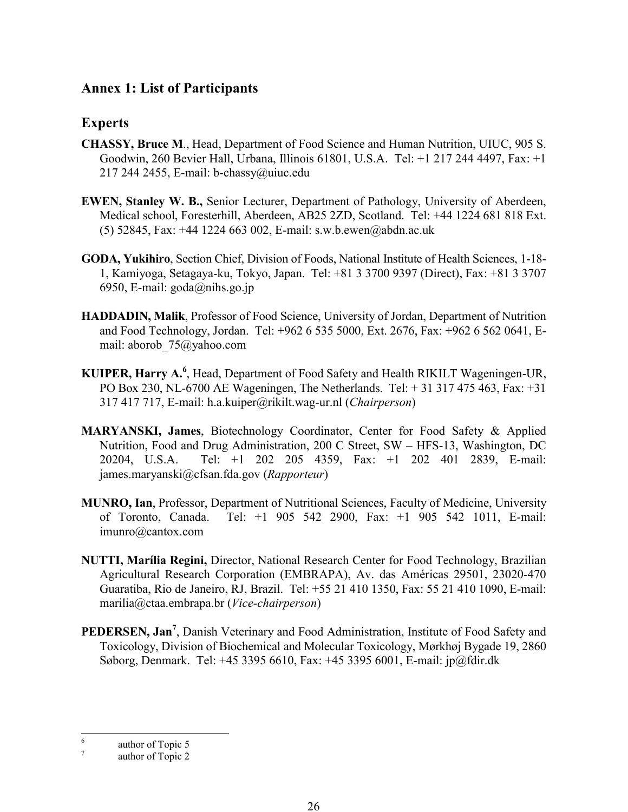### **Annex 1: List of Participants**

## **Experts**

- **CHASSY, Bruce M**., Head, Department of Food Science and Human Nutrition, UIUC, 905 S. Goodwin, 260 Bevier Hall, Urbana, Illinois 61801, U.S.A. Tel: +1 217 244 4497, Fax: +1 217 244 2455, E-mail: b-chassy@uiuc.edu
- **EWEN, Stanley W. B.,** Senior Lecturer, Department of Pathology, University of Aberdeen, Medical school, Foresterhill, Aberdeen, AB25 2ZD, Scotland. Tel: +44 1224 681 818 Ext. (5) 52845, Fax: +44 1224 663 002, E-mail: s.w.b.ewen@abdn.ac.uk
- **GODA, Yukihiro**, Section Chief, Division of Foods, National Institute of Health Sciences, 1-18- 1, Kamiyoga, Setagaya-ku, Tokyo, Japan. Tel: +81 3 3700 9397 (Direct), Fax: +81 3 3707 6950, E-mail:  $\text{goda}(a)$ nihs.go.jp
- **HADDADIN, Malik**, Professor of Food Science, University of Jordan, Department of Nutrition and Food Technology, Jordan. Tel: +962 6 535 5000, Ext. 2676, Fax: +962 6 562 0641, Email: aborob\_75@yahoo.com
- **KUIPER, Harry A.<sup>6</sup>** , Head, Department of Food Safety and Health RIKILT Wageningen-UR, PO Box 230, NL-6700 AE Wageningen, The Netherlands. Tel: + 31 317 475 463, Fax: +31 317 417 717, E-mail: h.a.kuiper@rikilt.wag-ur.nl (*Chairperson*)
- **MARYANSKI, James**, Biotechnology Coordinator, Center for Food Safety & Applied Nutrition, Food and Drug Administration, 200 C Street, SW – HFS-13, Washington, DC 20204, U.S.A. Tel: +1 202 205 4359, Fax: +1 202 401 2839, E-mail: james.maryanski@cfsan.fda.gov (*Rapporteur*)
- **MUNRO, Ian**, Professor, Department of Nutritional Sciences, Faculty of Medicine, University of Toronto, Canada. Tel: +1 905 542 2900, Fax: +1 905 542 1011, E-mail: imunro@cantox.com
- **NUTTI, Marília Regini,** Director, National Research Center for Food Technology, Brazilian Agricultural Research Corporation (EMBRAPA), Av. das Américas 29501, 23020-470 Guaratiba, Rio de Janeiro, RJ, Brazil. Tel: +55 21 410 1350, Fax: 55 21 410 1090, E-mail: marilia@ctaa.embrapa.br (*Vice-chairperson*)
- PEDERSEN, Jan<sup>7</sup>, Danish Veterinary and Food Administration, Institute of Food Safety and Toxicology, Division of Biochemical and Molecular Toxicology, Mørkhøj Bygade 19, 2860 Søborg, Denmark. Tel: +45 3395 6610, Fax: +45 3395 6001, E-mail: jp@fdir.dk

L

<sup>6</sup> author of Topic 5

<sup>7</sup> author of Topic 2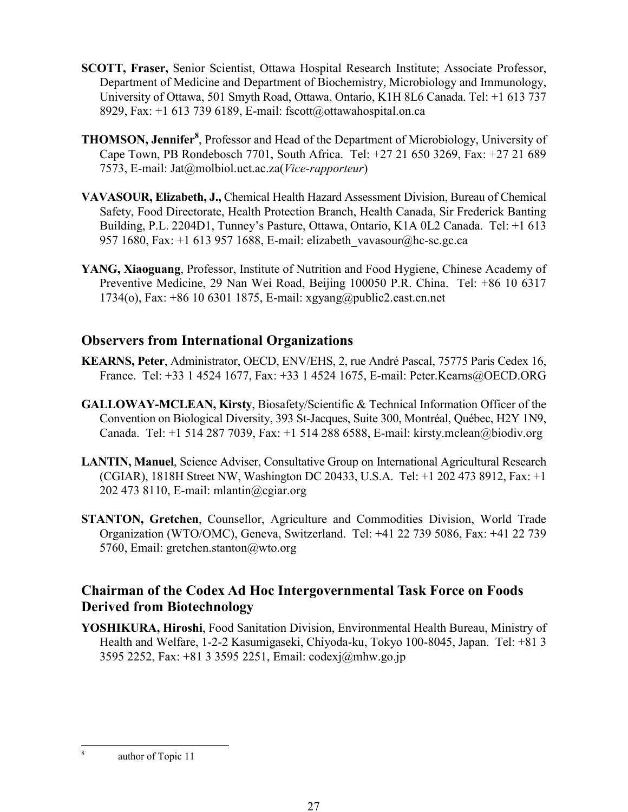- **SCOTT, Fraser,** Senior Scientist, Ottawa Hospital Research Institute; Associate Professor, Department of Medicine and Department of Biochemistry, Microbiology and Immunology, University of Ottawa, 501 Smyth Road, Ottawa, Ontario, K1H 8L6 Canada. Tel: +1 613 737 8929, Fax: +1 613 739 6189, E-mail: fscott@ottawahospital.on.ca
- **THOMSON, Jennifer8** , Professor and Head of the Department of Microbiology, University of Cape Town, PB Rondebosch 7701, South Africa. Tel: +27 21 650 3269, Fax: +27 21 689 7573, E-mail: Jat@molbiol.uct.ac.za(*Vice-rapporteur*)
- **VAVASOUR, Elizabeth, J.,** Chemical Health Hazard Assessment Division, Bureau of Chemical Safety, Food Directorate, Health Protection Branch, Health Canada, Sir Frederick Banting Building, P.L. 2204D1, Tunney's Pasture, Ottawa, Ontario, K1A 0L2 Canada. Tel: +1 613 957 1680, Fax:  $+1$  613 957 1688, E-mail: elizabeth vavasour@hc-sc.gc.ca
- **YANG, Xiaoguang**, Professor, Institute of Nutrition and Food Hygiene, Chinese Academy of Preventive Medicine, 29 Nan Wei Road, Beijing 100050 P.R. China. Tel: +86 10 6317 1734(o), Fax: +86 10 6301 1875, E-mail: xgyang@public2.east.cn.net

## **Observers from International Organizations**

- **KEARNS, Peter**, Administrator, OECD, ENV/EHS, 2, rue André Pascal, 75775 Paris Cedex 16, France. Tel: +33 1 4524 1677, Fax: +33 1 4524 1675, E-mail: Peter.Kearns@OECD.ORG
- **GALLOWAY-MCLEAN, Kirsty**, Biosafety/Scientific & Technical Information Officer of the Convention on Biological Diversity, 393 St-Jacques, Suite 300, Montréal, Québec, H2Y 1N9, Canada. Tel: +1 514 287 7039, Fax: +1 514 288 6588, E-mail: kirsty.mclean@biodiv.org
- **LANTIN, Manuel**, Science Adviser, Consultative Group on International Agricultural Research (CGIAR), 1818H Street NW, Washington DC 20433, U.S.A. Tel: +1 202 473 8912, Fax: +1 202 473 8110, E-mail: mlantin@cgiar.org
- **STANTON, Gretchen**, Counsellor, Agriculture and Commodities Division, World Trade Organization (WTO/OMC), Geneva, Switzerland. Tel: +41 22 739 5086, Fax: +41 22 739 5760, Email: gretchen.stanton@wto.org

## **Chairman of the Codex Ad Hoc Intergovernmental Task Force on Foods Derived from Biotechnology**

**YOSHIKURA, Hiroshi**, Food Sanitation Division, Environmental Health Bureau, Ministry of Health and Welfare, 1-2-2 Kasumigaseki, Chiyoda-ku, Tokyo 100-8045, Japan. Tel: +81 3 3595 2252, Fax: +81 3 3595 2251, Email: codexj@mhw.go.jp

L 8 author of Topic 11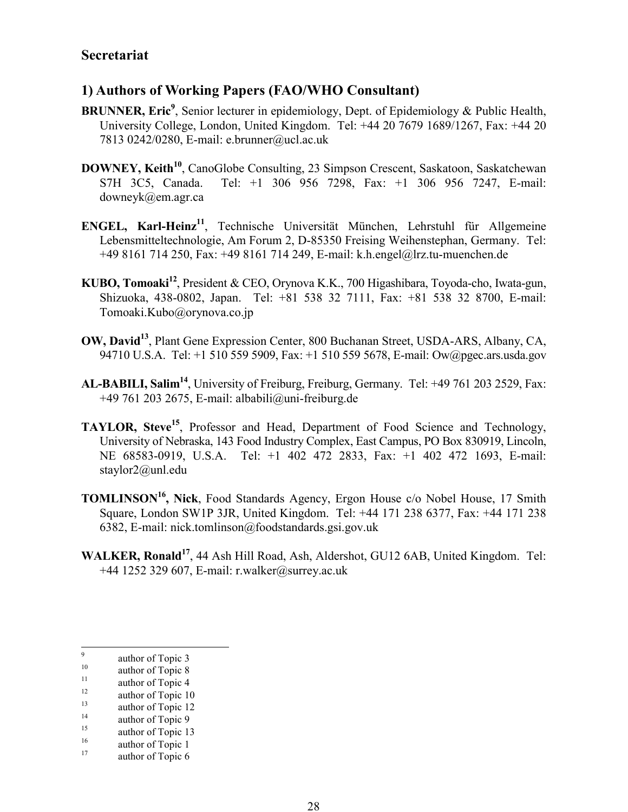## **Secretariat**

### **1) Authors of Working Papers (FAO/WHO Consultant)**

- **BRUNNER, Eric<sup>9</sup>**, Senior lecturer in epidemiology, Dept. of Epidemiology & Public Health, University College, London, United Kingdom. Tel: +44 20 7679 1689/1267, Fax: +44 20 7813 0242/0280, E-mail: e.brunner@ucl.ac.uk
- **DOWNEY, Keith<sup>10</sup>**, CanoGlobe Consulting, 23 Simpson Crescent, Saskatoon, Saskatchewan S7H 3C5, Canada. Tel: +1 306 956 7298, Fax: +1 306 956 7247, E-mail: downeyk@em.agr.ca
- **ENGEL, Karl-Heinz<sup>11</sup>, Technische Universität München, Lehrstuhl für Allgemeine** Lebensmitteltechnologie, Am Forum 2, D-85350 Freising Weihenstephan, Germany. Tel: +49 8161 714 250, Fax: +49 8161 714 249, E-mail: k.h.engel@lrz.tu-muenchen.de
- **KUBO, Tomoaki12**, President & CEO, Orynova K.K., 700 Higashibara, Toyoda-cho, Iwata-gun, Shizuoka, 438-0802, Japan. Tel: +81 538 32 7111, Fax: +81 538 32 8700, E-mail: Tomoaki.Kubo@orynova.co.jp
- **OW, David13**, Plant Gene Expression Center, 800 Buchanan Street, USDA-ARS, Albany, CA, 94710 U.S.A. Tel: +1 510 559 5909, Fax: +1 510 559 5678, E-mail: Ow@pgec.ars.usda.gov
- **AL-BABILI, Salim14**, University of Freiburg, Freiburg, Germany. Tel: +49 761 203 2529, Fax: +49 761 203 2675, E-mail: albabili@uni-freiburg.de
- **TAYLOR, Steve<sup>15</sup>**, Professor and Head, Department of Food Science and Technology, University of Nebraska, 143 Food Industry Complex, East Campus, PO Box 830919, Lincoln, NE 68583-0919, U.S.A. Tel: +1 402 472 2833, Fax: +1 402 472 1693, E-mail: staylor2@unl.edu
- **TOMLINSON<sup>16</sup>, Nick**, Food Standards Agency, Ergon House c/o Nobel House, 17 Smith Square, London SW1P 3JR, United Kingdom. Tel: +44 171 238 6377, Fax: +44 171 238 6382, E-mail: nick.tomlinson@foodstandards.gsi.gov.uk
- **WALKER, Ronald<sup>17</sup>**, 44 Ash Hill Road, Ash, Aldershot, GU12 6AB, United Kingdom. Tel: +44 1252 329 607, E-mail: r.walker@surrey.ac.uk

L

<sup>9</sup> <sup>9</sup> author of Topic 3<br><sup>10</sup>

 $\frac{10}{11}$  author of Topic 8

 $\frac{11}{12}$  author of Topic 4

 $\frac{12}{13}$  author of Topic 10

<sup>&</sup>lt;sup>13</sup> author of Topic 12<br><sup>14</sup> author of Topic 0

<sup>&</sup>lt;sup>14</sup> author of Topic 9<br><sup>15</sup> author of Topic 1<sup>2</sup>

 $\frac{15}{16}$  author of Topic 13

 $\frac{16}{17}$  author of Topic 1

author of Topic 6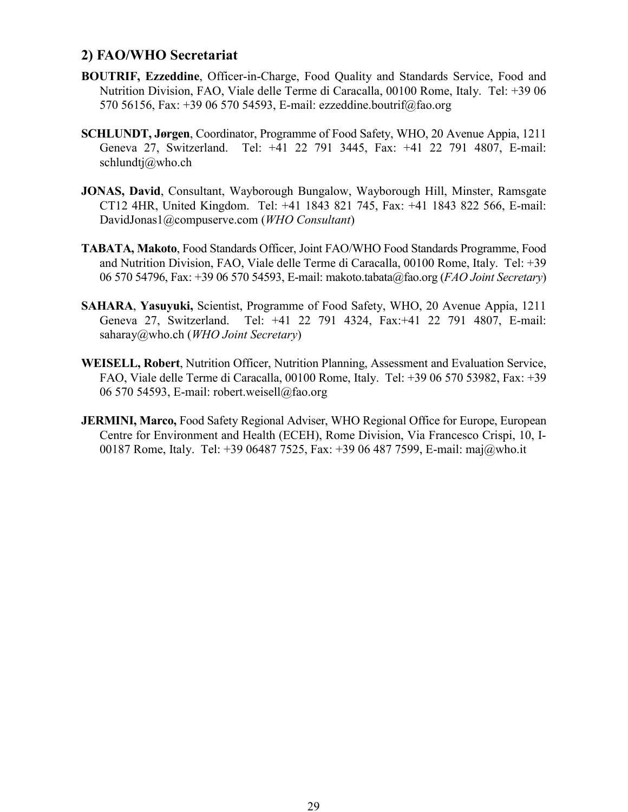## **2) FAO/WHO Secretariat**

- **BOUTRIF, Ezzeddine**, Officer-in-Charge, Food Quality and Standards Service, Food and Nutrition Division, FAO, Viale delle Terme di Caracalla, 00100 Rome, Italy. Tel: +39 06 570 56156, Fax: +39 06 570 54593, E-mail: ezzeddine.boutrif@fao.org
- **SCHLUNDT, Jørgen**, Coordinator, Programme of Food Safety, WHO, 20 Avenue Appia, 1211 Geneva 27, Switzerland. Tel: +41 22 791 3445, Fax: +41 22 791 4807, E-mail: schlundtj@who.ch
- **JONAS, David**, Consultant, Wayborough Bungalow, Wayborough Hill, Minster, Ramsgate CT12 4HR, United Kingdom. Tel: +41 1843 821 745, Fax: +41 1843 822 566, E-mail: DavidJonas1@compuserve.com (*WHO Consultant*)
- **TABATA, Makoto**, Food Standards Officer, Joint FAO/WHO Food Standards Programme, Food and Nutrition Division, FAO, Viale delle Terme di Caracalla, 00100 Rome, Italy. Tel: +39 06 570 54796, Fax: +39 06 570 54593, E-mail: makoto.tabata@fao.org (*FAO Joint Secretary*)
- **SAHARA**, **Yasuyuki,** Scientist, Programme of Food Safety, WHO, 20 Avenue Appia, 1211 Geneva 27, Switzerland. Tel: +41 22 791 4324, Fax:+41 22 791 4807, E-mail: saharay@who.ch (*WHO Joint Secretary*)
- **WEISELL, Robert**, Nutrition Officer, Nutrition Planning, Assessment and Evaluation Service, FAO, Viale delle Terme di Caracalla, 00100 Rome, Italy. Tel: +39 06 570 53982, Fax: +39 06 570 54593, E-mail: robert.weisell@fao.org
- **JERMINI, Marco, Food Safety Regional Adviser, WHO Regional Office for Europe, European** Centre for Environment and Health (ECEH), Rome Division, Via Francesco Crispi, 10, I-00187 Rome, Italy. Tel: +39 06487 7525, Fax: +39 06 487 7599, E-mail: maj@who.it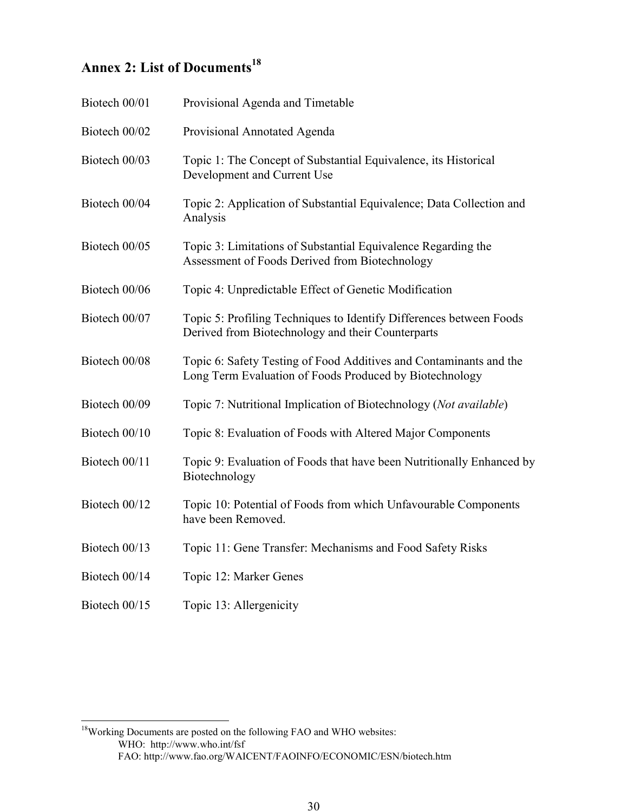## **Annex 2: List of Documents<sup>18</sup>**

| Biotech 00/01 | Provisional Agenda and Timetable                                                                                              |
|---------------|-------------------------------------------------------------------------------------------------------------------------------|
| Biotech 00/02 | Provisional Annotated Agenda                                                                                                  |
| Biotech 00/03 | Topic 1: The Concept of Substantial Equivalence, its Historical<br>Development and Current Use                                |
| Biotech 00/04 | Topic 2: Application of Substantial Equivalence; Data Collection and<br>Analysis                                              |
| Biotech 00/05 | Topic 3: Limitations of Substantial Equivalence Regarding the<br>Assessment of Foods Derived from Biotechnology               |
| Biotech 00/06 | Topic 4: Unpredictable Effect of Genetic Modification                                                                         |
| Biotech 00/07 | Topic 5: Profiling Techniques to Identify Differences between Foods<br>Derived from Biotechnology and their Counterparts      |
| Biotech 00/08 | Topic 6: Safety Testing of Food Additives and Contaminants and the<br>Long Term Evaluation of Foods Produced by Biotechnology |
| Biotech 00/09 | Topic 7: Nutritional Implication of Biotechnology (Not available)                                                             |
| Biotech 00/10 | Topic 8: Evaluation of Foods with Altered Major Components                                                                    |
| Biotech 00/11 | Topic 9: Evaluation of Foods that have been Nutritionally Enhanced by<br>Biotechnology                                        |
| Biotech 00/12 | Topic 10: Potential of Foods from which Unfavourable Components<br>have been Removed.                                         |
| Biotech 00/13 | Topic 11: Gene Transfer: Mechanisms and Food Safety Risks                                                                     |
| Biotech 00/14 | Topic 12: Marker Genes                                                                                                        |
| Biotech 00/15 | Topic 13: Allergenicity                                                                                                       |

L  $18$ Working Documents are posted on the following FAO and WHO websites: WHO: http://www.who.int/fsf FAO: http://www.fao.org/WAICENT/FAOINFO/ECONOMIC/ESN/biotech.htm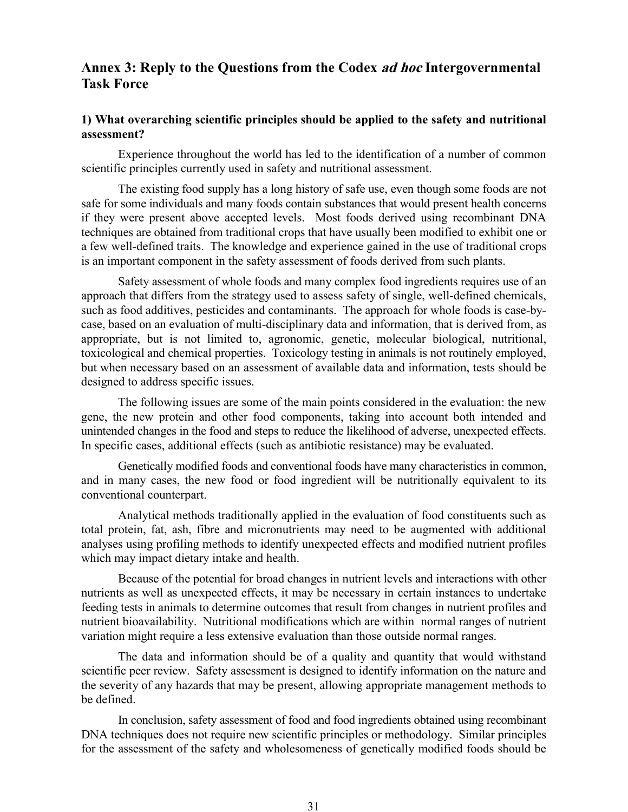### **Annex 3: Reply to the Questions from the Codex ad hoc Intergovernmental Task Force**

### **1) What overarching scientific principles should be applied to the safety and nutritional assessment?**

Experience throughout the world has led to the identification of a number of common scientific principles currently used in safety and nutritional assessment.

The existing food supply has a long history of safe use, even though some foods are not safe for some individuals and many foods contain substances that would present health concerns if they were present above accepted levels. Most foods derived using recombinant DNA techniques are obtained from traditional crops that have usually been modified to exhibit one or a few well-defined traits. The knowledge and experience gained in the use of traditional crops is an important component in the safety assessment of foods derived from such plants.

Safety assessment of whole foods and many complex food ingredients requires use of an approach that differs from the strategy used to assess safety of single, well-defined chemicals, such as food additives, pesticides and contaminants. The approach for whole foods is case-bycase, based on an evaluation of multi-disciplinary data and information, that is derived from, as appropriate, but is not limited to, agronomic, genetic, molecular biological, nutritional, toxicological and chemical properties. Toxicology testing in animals is not routinely employed, but when necessary based on an assessment of available data and information, tests should be designed to address specific issues.

The following issues are some of the main points considered in the evaluation: the new gene, the new protein and other food components, taking into account both intended and unintended changes in the food and steps to reduce the likelihood of adverse, unexpected effects. In specific cases, additional effects (such as antibiotic resistance) may be evaluated.

Genetically modified foods and conventional foods have many characteristics in common, and in many cases, the new food or food ingredient will be nutritionally equivalent to its conventional counterpart.

Analytical methods traditionally applied in the evaluation of food constituents such as total protein, fat, ash, fibre and micronutrients may need to be augmented with additional analyses using profiling methods to identify unexpected effects and modified nutrient profiles which may impact dietary intake and health.

Because of the potential for broad changes in nutrient levels and interactions with other nutrients as well as unexpected effects, it may be necessary in certain instances to undertake feeding tests in animals to determine outcomes that result from changes in nutrient profiles and nutrient bioavailability. Nutritional modifications which are within normal ranges of nutrient variation might require a less extensive evaluation than those outside normal ranges.

The data and information should be of a quality and quantity that would withstand scientific peer review. Safety assessment is designed to identify information on the nature and the severity of any hazards that may be present, allowing appropriate management methods to be defined.

In conclusion, safety assessment of food and food ingredients obtained using recombinant DNA techniques does not require new scientific principles or methodology. Similar principles for the assessment of the safety and wholesomeness of genetically modified foods should be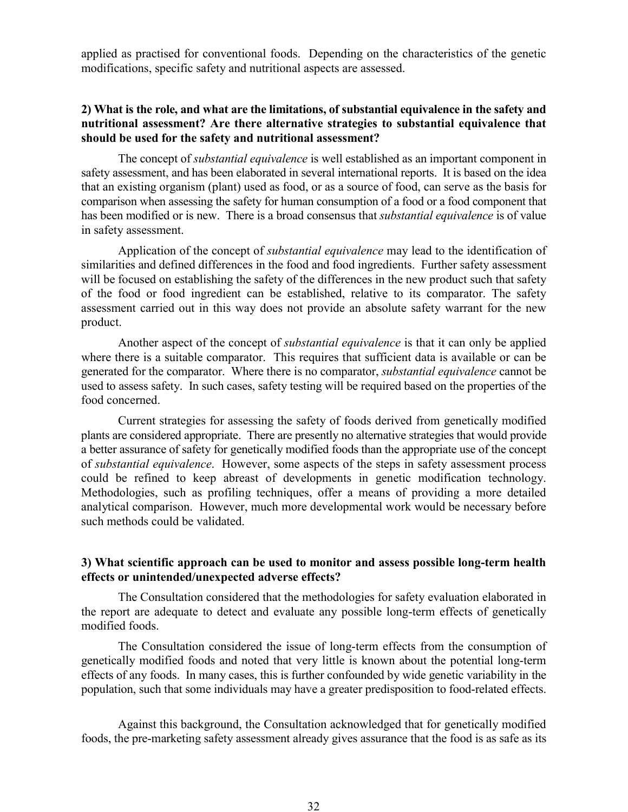applied as practised for conventional foods. Depending on the characteristics of the genetic modifications, specific safety and nutritional aspects are assessed.

### **2) What is the role, and what are the limitations, of substantial equivalence in the safety and nutritional assessment? Are there alternative strategies to substantial equivalence that should be used for the safety and nutritional assessment?**

The concept of *substantial equivalence* is well established as an important component in safety assessment, and has been elaborated in several international reports. It is based on the idea that an existing organism (plant) used as food, or as a source of food, can serve as the basis for comparison when assessing the safety for human consumption of a food or a food component that has been modified or is new. There is a broad consensus that *substantial equivalence* is of value in safety assessment.

Application of the concept of *substantial equivalence* may lead to the identification of similarities and defined differences in the food and food ingredients. Further safety assessment will be focused on establishing the safety of the differences in the new product such that safety of the food or food ingredient can be established, relative to its comparator. The safety assessment carried out in this way does not provide an absolute safety warrant for the new product.

Another aspect of the concept of *substantial equivalence* is that it can only be applied where there is a suitable comparator. This requires that sufficient data is available or can be generated for the comparator. Where there is no comparator, *substantial equivalence* cannot be used to assess safety. In such cases, safety testing will be required based on the properties of the food concerned.

Current strategies for assessing the safety of foods derived from genetically modified plants are considered appropriate. There are presently no alternative strategies that would provide a better assurance of safety for genetically modified foods than the appropriate use of the concept of *substantial equivalence*. However, some aspects of the steps in safety assessment process could be refined to keep abreast of developments in genetic modification technology. Methodologies, such as profiling techniques, offer a means of providing a more detailed analytical comparison. However, much more developmental work would be necessary before such methods could be validated.

### **3) What scientific approach can be used to monitor and assess possible long-term health effects or unintended/unexpected adverse effects?**

The Consultation considered that the methodologies for safety evaluation elaborated in the report are adequate to detect and evaluate any possible long-term effects of genetically modified foods.

The Consultation considered the issue of long-term effects from the consumption of genetically modified foods and noted that very little is known about the potential long-term effects of any foods. In many cases, this is further confounded by wide genetic variability in the population, such that some individuals may have a greater predisposition to food-related effects.

Against this background, the Consultation acknowledged that for genetically modified foods, the pre-marketing safety assessment already gives assurance that the food is as safe as its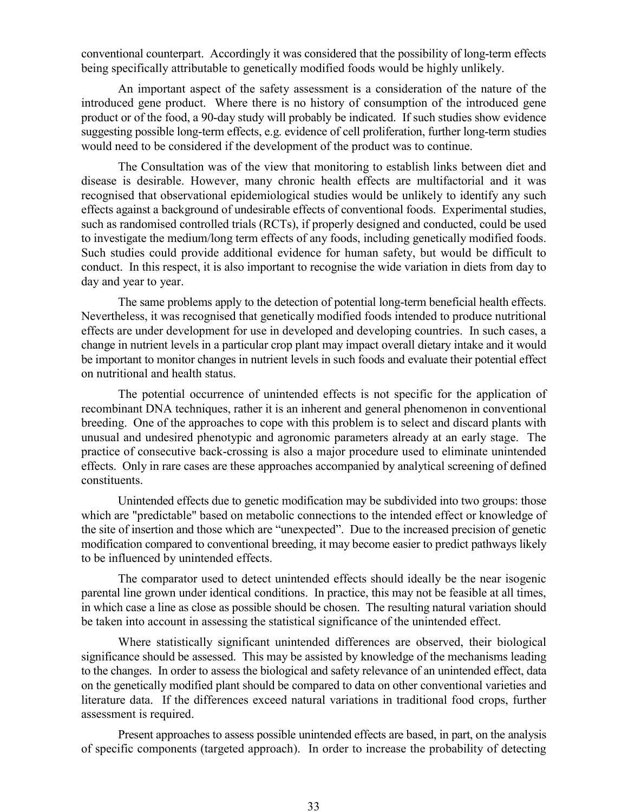conventional counterpart. Accordingly it was considered that the possibility of long-term effects being specifically attributable to genetically modified foods would be highly unlikely.

An important aspect of the safety assessment is a consideration of the nature of the introduced gene product. Where there is no history of consumption of the introduced gene product or of the food, a 90-day study will probably be indicated. If such studies show evidence suggesting possible long-term effects, e.g. evidence of cell proliferation, further long-term studies would need to be considered if the development of the product was to continue.

The Consultation was of the view that monitoring to establish links between diet and disease is desirable. However, many chronic health effects are multifactorial and it was recognised that observational epidemiological studies would be unlikely to identify any such effects against a background of undesirable effects of conventional foods. Experimental studies, such as randomised controlled trials (RCTs), if properly designed and conducted, could be used to investigate the medium/long term effects of any foods, including genetically modified foods. Such studies could provide additional evidence for human safety, but would be difficult to conduct. In this respect, it is also important to recognise the wide variation in diets from day to day and year to year.

The same problems apply to the detection of potential long-term beneficial health effects. Nevertheless, it was recognised that genetically modified foods intended to produce nutritional effects are under development for use in developed and developing countries. In such cases, a change in nutrient levels in a particular crop plant may impact overall dietary intake and it would be important to monitor changes in nutrient levels in such foods and evaluate their potential effect on nutritional and health status.

The potential occurrence of unintended effects is not specific for the application of recombinant DNA techniques, rather it is an inherent and general phenomenon in conventional breeding. One of the approaches to cope with this problem is to select and discard plants with unusual and undesired phenotypic and agronomic parameters already at an early stage. The practice of consecutive back-crossing is also a major procedure used to eliminate unintended effects. Only in rare cases are these approaches accompanied by analytical screening of defined constituents.

Unintended effects due to genetic modification may be subdivided into two groups: those which are "predictable" based on metabolic connections to the intended effect or knowledge of the site of insertion and those which are "unexpected". Due to the increased precision of genetic modification compared to conventional breeding, it may become easier to predict pathways likely to be influenced by unintended effects.

The comparator used to detect unintended effects should ideally be the near isogenic parental line grown under identical conditions. In practice, this may not be feasible at all times, in which case a line as close as possible should be chosen. The resulting natural variation should be taken into account in assessing the statistical significance of the unintended effect.

Where statistically significant unintended differences are observed, their biological significance should be assessed. This may be assisted by knowledge of the mechanisms leading to the changes. In order to assess the biological and safety relevance of an unintended effect, data on the genetically modified plant should be compared to data on other conventional varieties and literature data. If the differences exceed natural variations in traditional food crops, further assessment is required.

Present approaches to assess possible unintended effects are based, in part, on the analysis of specific components (targeted approach). In order to increase the probability of detecting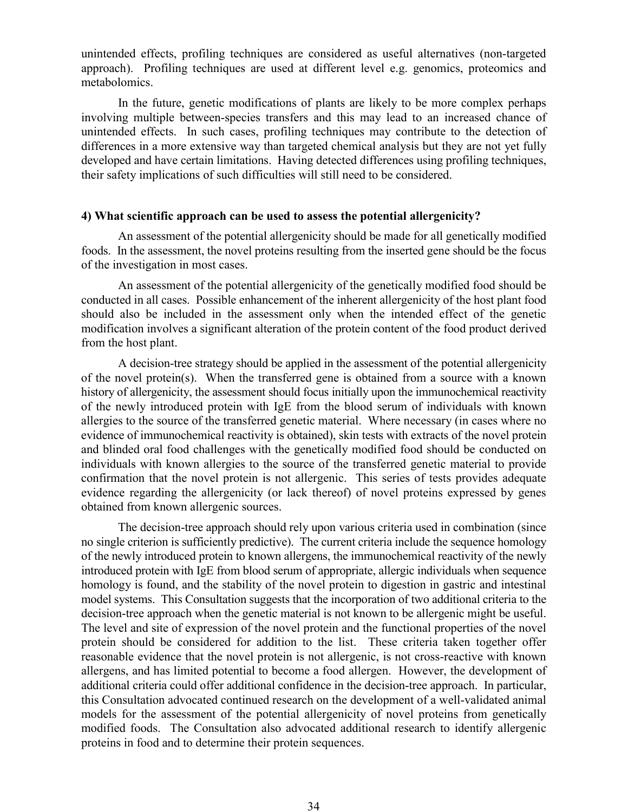unintended effects, profiling techniques are considered as useful alternatives (non-targeted approach). Profiling techniques are used at different level e.g. genomics, proteomics and metabolomics.

In the future, genetic modifications of plants are likely to be more complex perhaps involving multiple between-species transfers and this may lead to an increased chance of unintended effects. In such cases, profiling techniques may contribute to the detection of differences in a more extensive way than targeted chemical analysis but they are not yet fully developed and have certain limitations. Having detected differences using profiling techniques, their safety implications of such difficulties will still need to be considered.

#### **4) What scientific approach can be used to assess the potential allergenicity?**

An assessment of the potential allergenicity should be made for all genetically modified foods. In the assessment, the novel proteins resulting from the inserted gene should be the focus of the investigation in most cases.

An assessment of the potential allergenicity of the genetically modified food should be conducted in all cases. Possible enhancement of the inherent allergenicity of the host plant food should also be included in the assessment only when the intended effect of the genetic modification involves a significant alteration of the protein content of the food product derived from the host plant.

A decision-tree strategy should be applied in the assessment of the potential allergenicity of the novel protein(s). When the transferred gene is obtained from a source with a known history of allergenicity, the assessment should focus initially upon the immunochemical reactivity of the newly introduced protein with IgE from the blood serum of individuals with known allergies to the source of the transferred genetic material. Where necessary (in cases where no evidence of immunochemical reactivity is obtained), skin tests with extracts of the novel protein and blinded oral food challenges with the genetically modified food should be conducted on individuals with known allergies to the source of the transferred genetic material to provide confirmation that the novel protein is not allergenic. This series of tests provides adequate evidence regarding the allergenicity (or lack thereof) of novel proteins expressed by genes obtained from known allergenic sources.

The decision-tree approach should rely upon various criteria used in combination (since no single criterion is sufficiently predictive). The current criteria include the sequence homology of the newly introduced protein to known allergens, the immunochemical reactivity of the newly introduced protein with IgE from blood serum of appropriate, allergic individuals when sequence homology is found, and the stability of the novel protein to digestion in gastric and intestinal model systems. This Consultation suggests that the incorporation of two additional criteria to the decision-tree approach when the genetic material is not known to be allergenic might be useful. The level and site of expression of the novel protein and the functional properties of the novel protein should be considered for addition to the list. These criteria taken together offer reasonable evidence that the novel protein is not allergenic, is not cross-reactive with known allergens, and has limited potential to become a food allergen. However, the development of additional criteria could offer additional confidence in the decision-tree approach. In particular, this Consultation advocated continued research on the development of a well-validated animal models for the assessment of the potential allergenicity of novel proteins from genetically modified foods. The Consultation also advocated additional research to identify allergenic proteins in food and to determine their protein sequences.